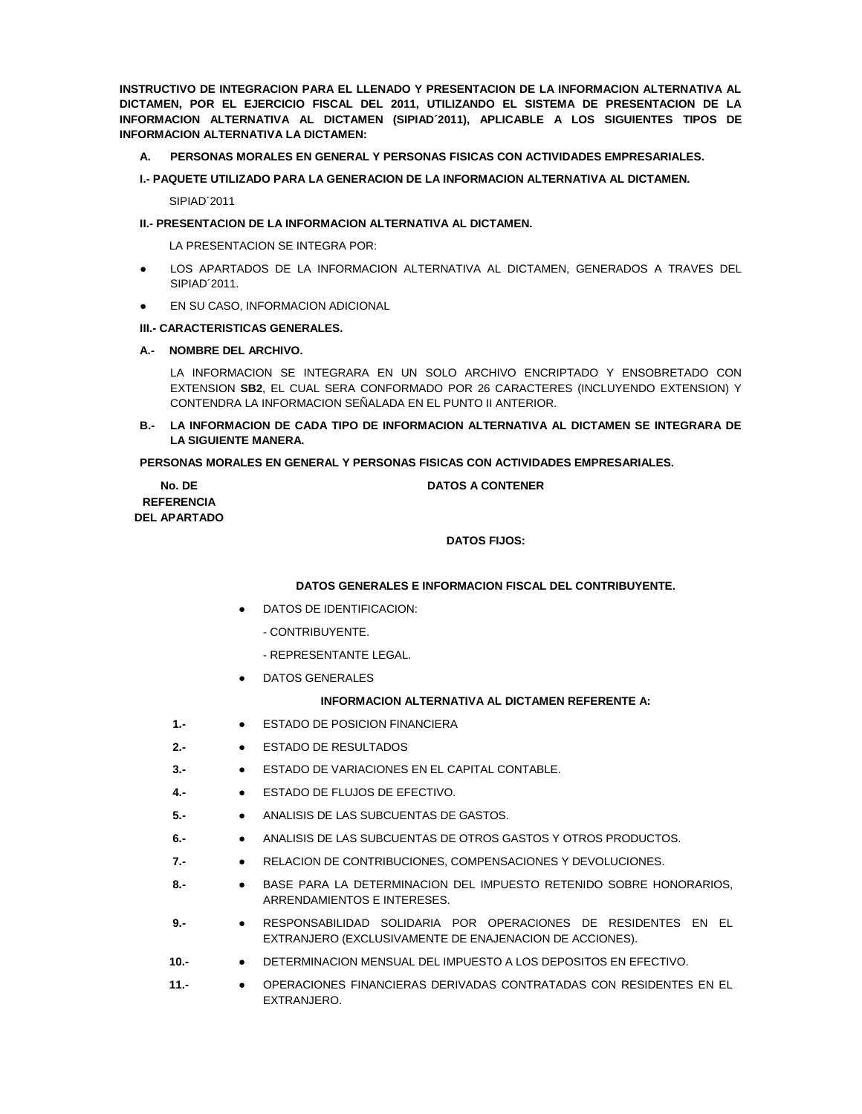**INSTRUCTIVO DE INTEGRACION PARA EL LLENADO Y PRESENTACION DE LA INFORMACION ALTERNATIVA AL DICTAMEN, POR EL EJERCICIO FISCAL DEL 2011, UTILIZANDO EL SISTEMA DE PRESENTACION DE LA INFORMACION ALTERNATIVA AL DICTAMEN (SIPIAD´2011), APLICABLE A LOS SIGUIENTES TIPOS DE INFORMACION ALTERNATIVA LA DICTAMEN:**

- **A. PERSONAS MORALES EN GENERAL Y PERSONAS FISICAS CON ACTIVIDADES EMPRESARIALES.**
- **I.- PAQUETE UTILIZADO PARA LA GENERACION DE LA INFORMACION ALTERNATIVA AL DICTAMEN.**

SIPIAD´2011

#### **II.- PRESENTACION DE LA INFORMACION ALTERNATIVA AL DICTAMEN.**

LA PRESENTACION SE INTEGRA POR:

- LOS APARTADOS DE LA INFORMACION ALTERNATIVA AL DICTAMEN, GENERADOS A TRAVES DEL SIPIAD´2011.
- **EN SU CASO, INFORMACION ADICIONAL**

#### **III.- CARACTERISTICAS GENERALES.**

#### **A.- NOMBRE DEL ARCHIVO.**

LA INFORMACION SE INTEGRARA EN UN SOLO ARCHIVO ENCRIPTADO Y ENSOBRETADO CON EXTENSION **SB2**, EL CUAL SERA CONFORMADO POR 26 CARACTERES (INCLUYENDO EXTENSION) Y CONTENDRA LA INFORMACION SEÑALADA EN EL PUNTO II ANTERIOR.

**B.- LA INFORMACION DE CADA TIPO DE INFORMACION ALTERNATIVA AL DICTAMEN SE INTEGRARA DE LA SIGUIENTE MANERA.**

## **PERSONAS MORALES EN GENERAL Y PERSONAS FISICAS CON ACTIVIDADES EMPRESARIALES.**

| No. DE              |  |
|---------------------|--|
| <b>REFERENCIA</b>   |  |
| <b>DEL APARTADO</b> |  |

# **DATOS A CONTENER**

# **DATOS FIJOS:**

### **DATOS GENERALES E INFORMACION FISCAL DEL CONTRIBUYENTE.**

- DATOS DE IDENTIFICACION:
	- CONTRIBUYENTE.
	- REPRESENTANTE LEGAL.
- DATOS GENERALES

## **INFORMACION ALTERNATIVA AL DICTAMEN REFERENTE A:**

- **1.-** ESTADO DE POSICION FINANCIERA
- **2.-** ESTADO DE RESULTADOS
- **3.-** ESTADO DE VARIACIONES EN EL CAPITAL CONTABLE.
- **4.-** ESTADO DE FLUJOS DE EFECTIVO.
- **5.-** ANALISIS DE LAS SUBCUENTAS DE GASTOS.
- **6.-** ANALISIS DE LAS SUBCUENTAS DE OTROS GASTOS Y OTROS PRODUCTOS.
- **7.-** RELACION DE CONTRIBUCIONES, COMPENSACIONES Y DEVOLUCIONES.
- **8.-** BASE PARA LA DETERMINACION DEL IMPUESTO RETENIDO SOBRE HONORARIOS, ARRENDAMIENTOS E INTERESES.
- **9.-** RESPONSABILIDAD SOLIDARIA POR OPERACIONES DE RESIDENTES EN EL EXTRANJERO (EXCLUSIVAMENTE DE ENAJENACION DE ACCIONES).
- **10.-** DETERMINACION MENSUAL DEL IMPUESTO A LOS DEPOSITOS EN EFECTIVO.
- **11.-** OPERACIONES FINANCIERAS DERIVADAS CONTRATADAS CON RESIDENTES EN EL EXTRANJERO.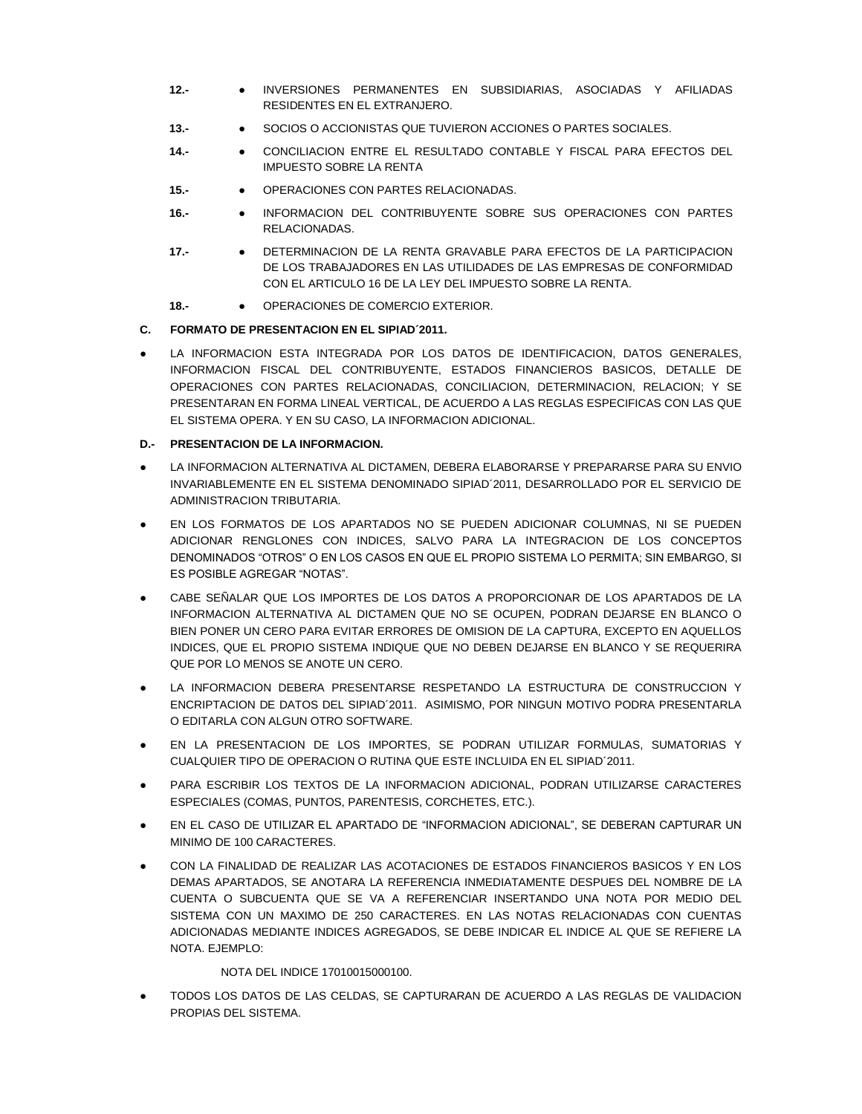- **12.-** INVERSIONES PERMANENTES EN SUBSIDIARIAS, ASOCIADAS Y AFILIADAS RESIDENTES EN EL EXTRANJERO.
- **13.-** SOCIOS O ACCIONISTAS QUE TUVIERON ACCIONES O PARTES SOCIALES.
- **14.-** CONCILIACION ENTRE EL RESULTADO CONTABLE Y FISCAL PARA EFECTOS DEL IMPUESTO SOBRE LA RENTA
- **15.-** OPERACIONES CON PARTES RELACIONADAS.
- **16.-** INFORMACION DEL CONTRIBUYENTE SOBRE SUS OPERACIONES CON PARTES RELACIONADAS.
- **17.-** DETERMINACION DE LA RENTA GRAVABLE PARA EFECTOS DE LA PARTICIPACION DE LOS TRABAJADORES EN LAS UTILIDADES DE LAS EMPRESAS DE CONFORMIDAD CON EL ARTICULO 16 DE LA LEY DEL IMPUESTO SOBRE LA RENTA.
- **18.-** OPERACIONES DE COMERCIO EXTERIOR.

# **C. FORMATO DE PRESENTACION EN EL SIPIAD´2011.**

LA INFORMACION ESTA INTEGRADA POR LOS DATOS DE IDENTIFICACION, DATOS GENERALES, INFORMACION FISCAL DEL CONTRIBUYENTE, ESTADOS FINANCIEROS BASICOS, DETALLE DE OPERACIONES CON PARTES RELACIONADAS, CONCILIACION, DETERMINACION, RELACION; Y SE PRESENTARAN EN FORMA LINEAL VERTICAL, DE ACUERDO A LAS REGLAS ESPECIFICAS CON LAS QUE EL SISTEMA OPERA. Y EN SU CASO, LA INFORMACION ADICIONAL.

# **D.- PRESENTACION DE LA INFORMACION.**

- LA INFORMACION ALTERNATIVA AL DICTAMEN, DEBERA ELABORARSE Y PREPARARSE PARA SU ENVIO INVARIABLEMENTE EN EL SISTEMA DENOMINADO SIPIAD´2011, DESARROLLADO POR EL SERVICIO DE ADMINISTRACION TRIBUTARIA.
- EN LOS FORMATOS DE LOS APARTADOS NO SE PUEDEN ADICIONAR COLUMNAS, NI SE PUEDEN ADICIONAR RENGLONES CON INDICES, SALVO PARA LA INTEGRACION DE LOS CONCEPTOS DENOMINADOS "OTROS" O EN LOS CASOS EN QUE EL PROPIO SISTEMA LO PERMITA; SIN EMBARGO, SI ES POSIBLE AGREGAR "NOTAS".
- CABE SEÑALAR QUE LOS IMPORTES DE LOS DATOS A PROPORCIONAR DE LOS APARTADOS DE LA INFORMACION ALTERNATIVA AL DICTAMEN QUE NO SE OCUPEN, PODRAN DEJARSE EN BLANCO O BIEN PONER UN CERO PARA EVITAR ERRORES DE OMISION DE LA CAPTURA, EXCEPTO EN AQUELLOS INDICES, QUE EL PROPIO SISTEMA INDIQUE QUE NO DEBEN DEJARSE EN BLANCO Y SE REQUERIRA QUE POR LO MENOS SE ANOTE UN CERO.
- LA INFORMACION DEBERA PRESENTARSE RESPETANDO LA ESTRUCTURA DE CONSTRUCCION Y ENCRIPTACION DE DATOS DEL SIPIAD´2011. ASIMISMO, POR NINGUN MOTIVO PODRA PRESENTARLA O EDITARLA CON ALGUN OTRO SOFTWARE.
- EN LA PRESENTACION DE LOS IMPORTES, SE PODRAN UTILIZAR FORMULAS, SUMATORIAS Y CUALQUIER TIPO DE OPERACION O RUTINA QUE ESTE INCLUIDA EN EL SIPIAD´2011.
- PARA ESCRIBIR LOS TEXTOS DE LA INFORMACION ADICIONAL, PODRAN UTILIZARSE CARACTERES ESPECIALES (COMAS, PUNTOS, PARENTESIS, CORCHETES, ETC.).
- EN EL CASO DE UTILIZAR EL APARTADO DE "INFORMACION ADICIONAL", SE DEBERAN CAPTURAR UN MINIMO DE 100 CARACTERES.
- CON LA FINALIDAD DE REALIZAR LAS ACOTACIONES DE ESTADOS FINANCIEROS BASICOS Y EN LOS DEMAS APARTADOS, SE ANOTARA LA REFERENCIA INMEDIATAMENTE DESPUES DEL NOMBRE DE LA CUENTA O SUBCUENTA QUE SE VA A REFERENCIAR INSERTANDO UNA NOTA POR MEDIO DEL SISTEMA CON UN MAXIMO DE 250 CARACTERES. EN LAS NOTAS RELACIONADAS CON CUENTAS ADICIONADAS MEDIANTE INDICES AGREGADOS, SE DEBE INDICAR EL INDICE AL QUE SE REFIERE LA NOTA. EJEMPLO:

# NOTA DEL INDICE 17010015000100.

TODOS LOS DATOS DE LAS CELDAS, SE CAPTURARAN DE ACUERDO A LAS REGLAS DE VALIDACION PROPIAS DEL SISTEMA.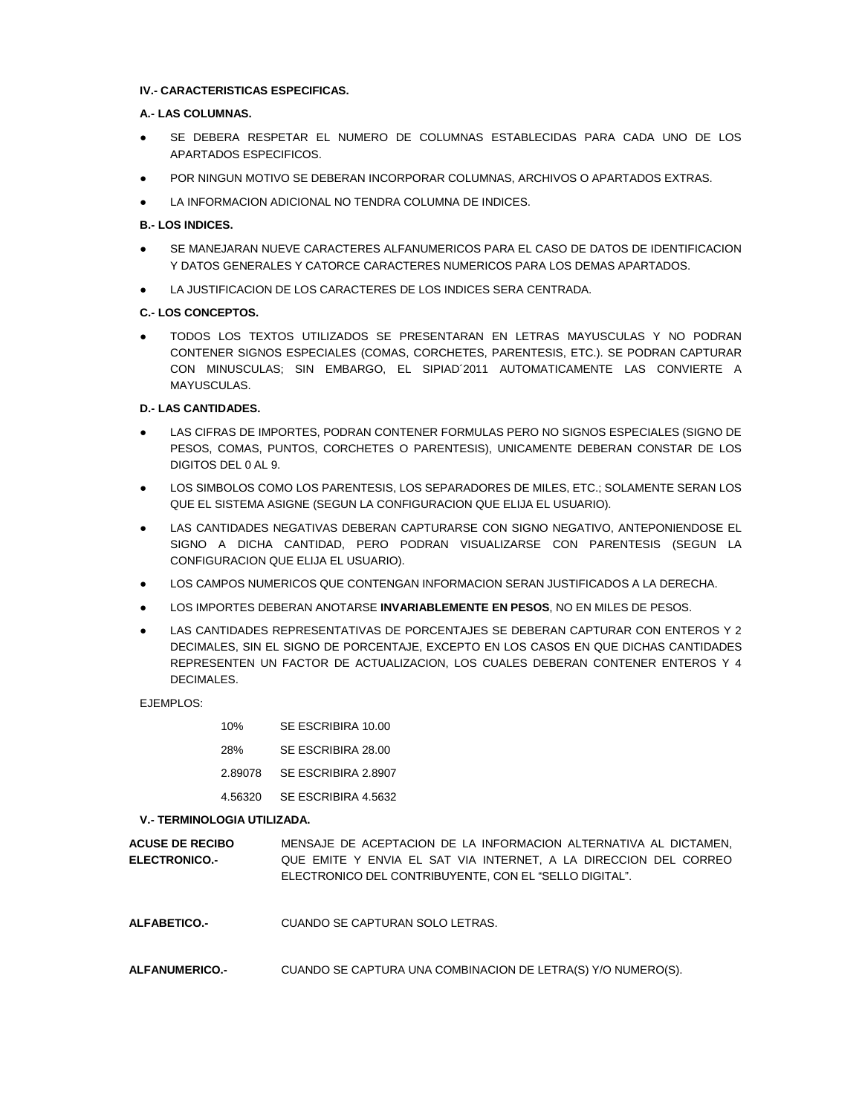## **IV.- CARACTERISTICAS ESPECIFICAS.**

## **A.- LAS COLUMNAS.**

- SE DEBERA RESPETAR EL NUMERO DE COLUMNAS ESTABLECIDAS PARA CADA UNO DE LOS APARTADOS ESPECIFICOS.
- POR NINGUN MOTIVO SE DEBERAN INCORPORAR COLUMNAS, ARCHIVOS O APARTADOS EXTRAS.
- LA INFORMACION ADICIONAL NO TENDRA COLUMNA DE INDICES.

## **B.- LOS INDICES.**

- SE MANEJARAN NUEVE CARACTERES ALFANUMERICOS PARA EL CASO DE DATOS DE IDENTIFICACION Y DATOS GENERALES Y CATORCE CARACTERES NUMERICOS PARA LOS DEMAS APARTADOS.
- LA JUSTIFICACION DE LOS CARACTERES DE LOS INDICES SERA CENTRADA.

## **C.- LOS CONCEPTOS.**

TODOS LOS TEXTOS UTILIZADOS SE PRESENTARAN EN LETRAS MAYUSCULAS Y NO PODRAN CONTENER SIGNOS ESPECIALES (COMAS, CORCHETES, PARENTESIS, ETC.). SE PODRAN CAPTURAR CON MINUSCULAS; SIN EMBARGO, EL SIPIAD´2011 AUTOMATICAMENTE LAS CONVIERTE A MAYUSCULAS.

## **D.- LAS CANTIDADES.**

- LAS CIFRAS DE IMPORTES, PODRAN CONTENER FORMULAS PERO NO SIGNOS ESPECIALES (SIGNO DE PESOS, COMAS, PUNTOS, CORCHETES O PARENTESIS), UNICAMENTE DEBERAN CONSTAR DE LOS DIGITOS DEL 0 AL 9.
- LOS SIMBOLOS COMO LOS PARENTESIS, LOS SEPARADORES DE MILES, ETC.; SOLAMENTE SERAN LOS QUE EL SISTEMA ASIGNE (SEGUN LA CONFIGURACION QUE ELIJA EL USUARIO).
- LAS CANTIDADES NEGATIVAS DEBERAN CAPTURARSE CON SIGNO NEGATIVO, ANTEPONIENDOSE EL SIGNO A DICHA CANTIDAD, PERO PODRAN VISUALIZARSE CON PARENTESIS (SEGUN LA CONFIGURACION QUE ELIJA EL USUARIO).
- LOS CAMPOS NUMERICOS QUE CONTENGAN INFORMACION SERAN JUSTIFICADOS A LA DERECHA.
- LOS IMPORTES DEBERAN ANOTARSE **INVARIABLEMENTE EN PESOS**, NO EN MILES DE PESOS.
- LAS CANTIDADES REPRESENTATIVAS DE PORCENTAJES SE DEBERAN CAPTURAR CON ENTEROS Y 2 DECIMALES, SIN EL SIGNO DE PORCENTAJE, EXCEPTO EN LOS CASOS EN QUE DICHAS CANTIDADES REPRESENTEN UN FACTOR DE ACTUALIZACION, LOS CUALES DEBERAN CONTENER ENTEROS Y 4 DECIMALES.

EJEMPLOS:

| 10%     | SE ESCRIBIRA 10.00  |
|---------|---------------------|
| 28%     | SE ESCRIBIRA 28.00  |
| 2.89078 | SE ESCRIBIRA 2.8907 |
| 4.56320 | SE ESCRIBIRA 4.5632 |

### **V.- TERMINOLOGIA UTILIZADA.**

| <b>ACUSE DE RECIBO</b> | MENSAJE DE ACEPTACION DE LA INFORMACION ALTERNATIVA AL DICTAMEN. |
|------------------------|------------------------------------------------------------------|
| <b>ELECTRONICO.-</b>   | QUE EMITE Y ENVIA EL SAT VIA INTERNET. A LA DIRECCION DEL CORREO |
|                        | ELECTRONICO DEL CONTRIBUYENTE, CON EL "SELLO DIGITAL".           |

- **ALFABETICO.-** CUANDO SE CAPTURAN SOLO LETRAS.
- **ALFANUMERICO.-** CUANDO SE CAPTURA UNA COMBINACION DE LETRA(S) Y/O NUMERO(S).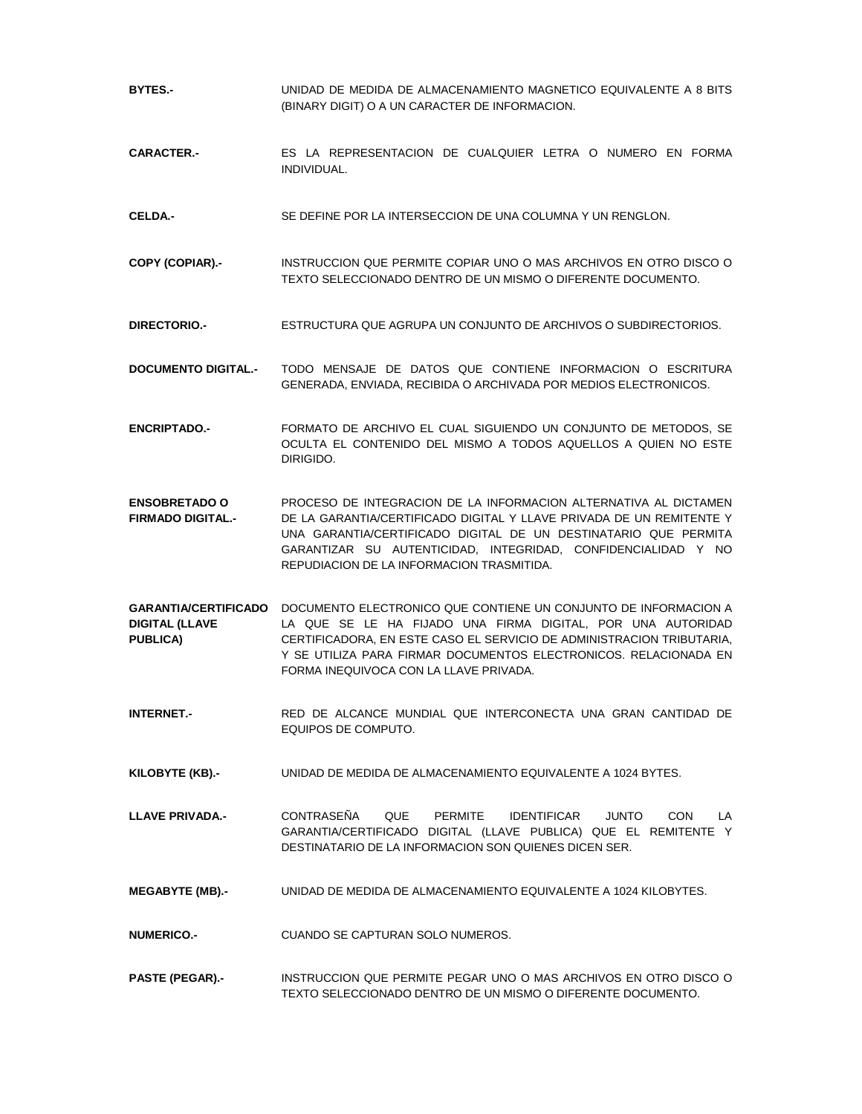| BYTES.-                                          | UNIDAD DE MEDIDA DE ALMACENAMIENTO MAGNETICO EQUIVALENTE A 8 BITS<br>(BINARY DIGIT) O A UN CARACTER DE INFORMACION.                                                                                                                                                                                                                               |
|--------------------------------------------------|---------------------------------------------------------------------------------------------------------------------------------------------------------------------------------------------------------------------------------------------------------------------------------------------------------------------------------------------------|
| <b>CARACTER-</b>                                 | ES LA REPRESENTACION DE CUALQUIER LETRA O NUMERO EN FORMA<br>INDIVIDUAL.                                                                                                                                                                                                                                                                          |
| CELDA-                                           | SE DEFINE POR LA INTERSECCION DE UNA COLUMNA Y UN RENGLON.                                                                                                                                                                                                                                                                                        |
| COPY (COPIAR) -                                  | INSTRUCCION QUE PERMITE COPIAR UNO O MAS ARCHIVOS EN OTRO DISCO O<br>TEXTO SELECCIONADO DENTRO DE UN MISMO O DIFERENTE DOCUMENTO.                                                                                                                                                                                                                 |
| <b>DIRECTORIO.-</b>                              | ESTRUCTURA QUE AGRUPA UN CONJUNTO DE ARCHIVOS O SUBDIRECTORIOS.                                                                                                                                                                                                                                                                                   |
| <b>DOCUMENTO DIGITAL.-</b>                       | TODO MENSAJE DE DATOS QUE CONTIENE INFORMACION O ESCRITURA<br>GENERADA, ENVIADA, RECIBIDA O ARCHIVADA POR MEDIOS ELECTRONICOS.                                                                                                                                                                                                                    |
| <b>ENCRIPTADO.-</b>                              | FORMATO DE ARCHIVO EL CUAL SIGUIENDO UN CONJUNTO DE METODOS, SE<br>OCULTA EL CONTENIDO DEL MISMO A TODOS AQUELLOS A QUIEN NO ESTE<br>DIRIGIDO.                                                                                                                                                                                                    |
| <b>ENSOBRETADO O</b><br><b>FIRMADO DIGITAL.-</b> | PROCESO DE INTEGRACION DE LA INFORMACION ALTERNATIVA AL DICTAMEN<br>DE LA GARANTIA/CERTIFICADO DIGITAL Y LLAVE PRIVADA DE UN REMITENTE Y<br>UNA GARANTIA/CERTIFICADO DIGITAL DE UN DESTINATARIO QUE PERMITA<br>GARANTIZAR SU AUTENTICIDAD, INTEGRIDAD, CONFIDENCIALIDAD Y NO<br>REPUDIACION DE LA INFORMACION TRASMITIDA.                         |
| <b>DIGITAL (LLAVE</b><br><b>PUBLICA)</b>         | <b>GARANTIA/CERTIFICADO</b> DOCUMENTO ELECTRONICO QUE CONTIENE UN CONJUNTO DE INFORMACION A<br>LA QUE SE LE HA FIJADO UNA FIRMA DIGITAL, POR UNA AUTORIDAD<br>CERTIFICADORA, EN ESTE CASO EL SERVICIO DE ADMINISTRACION TRIBUTARIA,<br>Y SE UTILIZA PARA FIRMAR DOCUMENTOS ELECTRONICOS, RELACIONADA EN<br>FORMA INEQUIVOCA CON LA LLAVE PRIVADA. |
| <b>INTERNET.-</b>                                | RED DE ALCANCE MUNDIAL QUE INTERCONECTA UNA GRAN CANTIDAD DE<br>EQUIPOS DE COMPUTO.                                                                                                                                                                                                                                                               |
| KILOBYTE (KB) -                                  | UNIDAD DE MEDIDA DE ALMACENAMIENTO EQUIVALENTE A 1024 BYTES.                                                                                                                                                                                                                                                                                      |
| <b>LLAVE PRIVADA.-</b>                           | <b>CONTRASEÑA</b><br>QUE<br><b>PERMITE</b><br><b>IDENTIFICAR</b><br><b>JUNTO</b><br><b>CON</b><br>LA<br>GARANTIA/CERTIFICADO DIGITAL (LLAVE PUBLICA) QUE EL REMITENTE Y<br>DESTINATARIO DE LA INFORMACION SON QUIENES DICEN SER.                                                                                                                  |
| <b>MEGABYTE (MB).-</b>                           | UNIDAD DE MEDIDA DE ALMACENAMIENTO EQUIVALENTE A 1024 KILOBYTES.                                                                                                                                                                                                                                                                                  |
| <b>NUMERICO.-</b>                                | CUANDO SE CAPTURAN SOLO NUMEROS.                                                                                                                                                                                                                                                                                                                  |
| <b>PASTE (PEGAR) -</b>                           | INSTRUCCION QUE PERMITE PEGAR UNO O MAS ARCHIVOS EN OTRO DISCO O<br>TEXTO SELECCIONADO DENTRO DE UN MISMO O DIFERENTE DOCUMENTO.                                                                                                                                                                                                                  |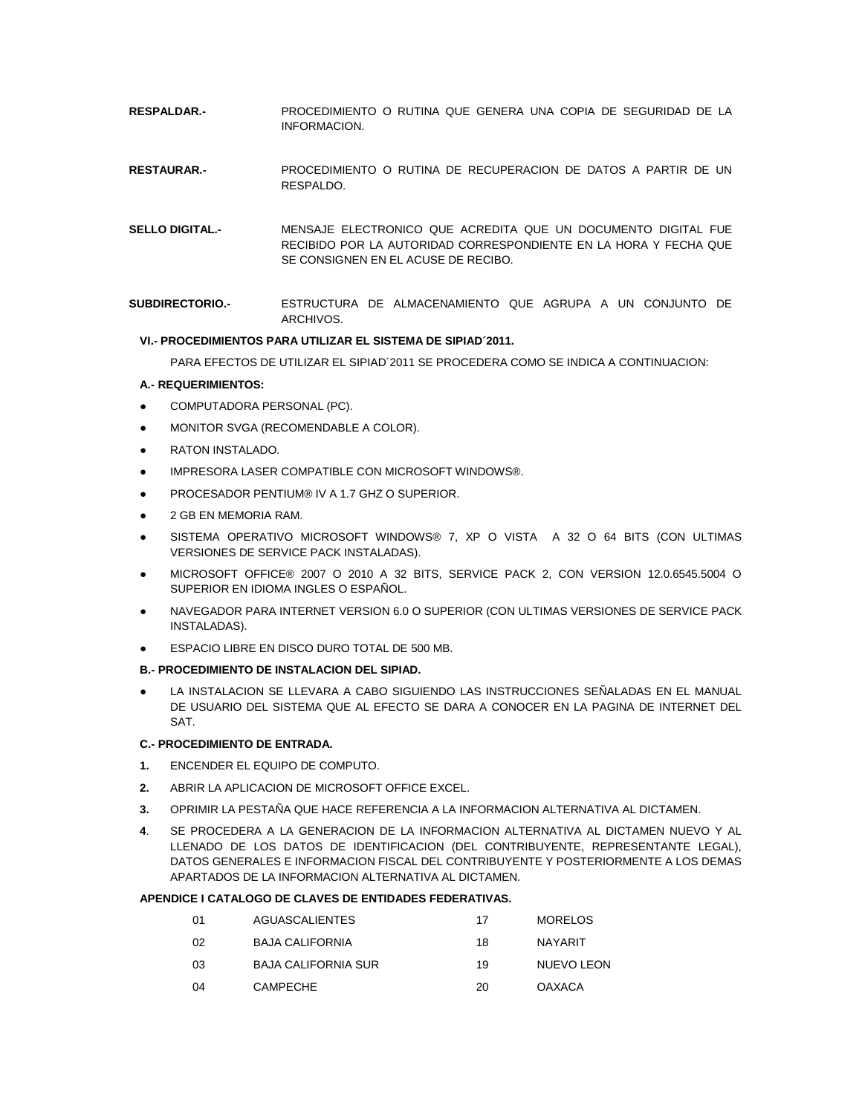- **RESPALDAR.-** PROCEDIMIENTO O RUTINA QUE GENERA UNA COPIA DE SEGURIDAD DE LA INFORMACION.
- **RESTAURAR.-** PROCEDIMIENTO O RUTINA DE RECUPERACION DE DATOS A PARTIR DE UN RESPALDO.
- **SELLO DIGITAL.-** MENSAJE ELECTRONICO QUE ACREDITA QUE UN DOCUMENTO DIGITAL FUE RECIBIDO POR LA AUTORIDAD CORRESPONDIENTE EN LA HORA Y FECHA QUE SE CONSIGNEN EN EL ACUSE DE RECIBO.
- **SUBDIRECTORIO.-** ESTRUCTURA DE ALMACENAMIENTO QUE AGRUPA A UN CONJUNTO DE ARCHIVOS.

## **VI.- PROCEDIMIENTOS PARA UTILIZAR EL SISTEMA DE SIPIAD´2011.**

PARA EFECTOS DE UTILIZAR EL SIPIAD´2011 SE PROCEDERA COMO SE INDICA A CONTINUACION:

#### **A.- REQUERIMIENTOS:**

- COMPUTADORA PERSONAL (PC).
- MONITOR SVGA (RECOMENDABLE A COLOR).
- RATON INSTALADO.
- IMPRESORA LASER COMPATIBLE CON MICROSOFT WINDOWS®.
- PROCESADOR PENTIUM® IV A 1.7 GHZ O SUPERIOR.
- 2 GB EN MEMORIA RAM.
- SISTEMA OPERATIVO MICROSOFT WINDOWS® 7, XP O VISTA A 32 O 64 BITS (CON ULTIMAS VERSIONES DE SERVICE PACK INSTALADAS).
- MICROSOFT OFFICE® 2007 O 2010 A 32 BITS, SERVICE PACK 2, CON VERSION 12.0.6545.5004 O SUPERIOR EN IDIOMA INGLES O ESPAÑOL.
- NAVEGADOR PARA INTERNET VERSION 6.0 O SUPERIOR (CON ULTIMAS VERSIONES DE SERVICE PACK INSTALADAS).
- ESPACIO LIBRE EN DISCO DURO TOTAL DE 500 MB.

## **B.- PROCEDIMIENTO DE INSTALACION DEL SIPIAD.**

● LA INSTALACION SE LLEVARA A CABO SIGUIENDO LAS INSTRUCCIONES SEÑALADAS EN EL MANUAL DE USUARIO DEL SISTEMA QUE AL EFECTO SE DARA A CONOCER EN LA PAGINA DE INTERNET DEL SAT.

#### **C.- PROCEDIMIENTO DE ENTRADA.**

- **1.** ENCENDER EL EQUIPO DE COMPUTO.
- **2.** ABRIR LA APLICACION DE MICROSOFT OFFICE EXCEL.
- **3.** OPRIMIR LA PESTAÑA QUE HACE REFERENCIA A LA INFORMACION ALTERNATIVA AL DICTAMEN.
- **4**. SE PROCEDERA A LA GENERACION DE LA INFORMACION ALTERNATIVA AL DICTAMEN NUEVO Y AL LLENADO DE LOS DATOS DE IDENTIFICACION (DEL CONTRIBUYENTE, REPRESENTANTE LEGAL), DATOS GENERALES E INFORMACION FISCAL DEL CONTRIBUYENTE Y POSTERIORMENTE A LOS DEMAS APARTADOS DE LA INFORMACION ALTERNATIVA AL DICTAMEN.

### **APENDICE I CATALOGO DE CLAVES DE ENTIDADES FEDERATIVAS.**

| -01 | AGUASCALIENTES             | 17 | MORELOS    |
|-----|----------------------------|----|------------|
| 02  | BAJA CALIFORNIA            | 18 | NAYARIT    |
| 03  | <b>BAJA CALIFORNIA SUR</b> | 19 | NUEVO LEON |

04 CAMPECHE 20 OAXACA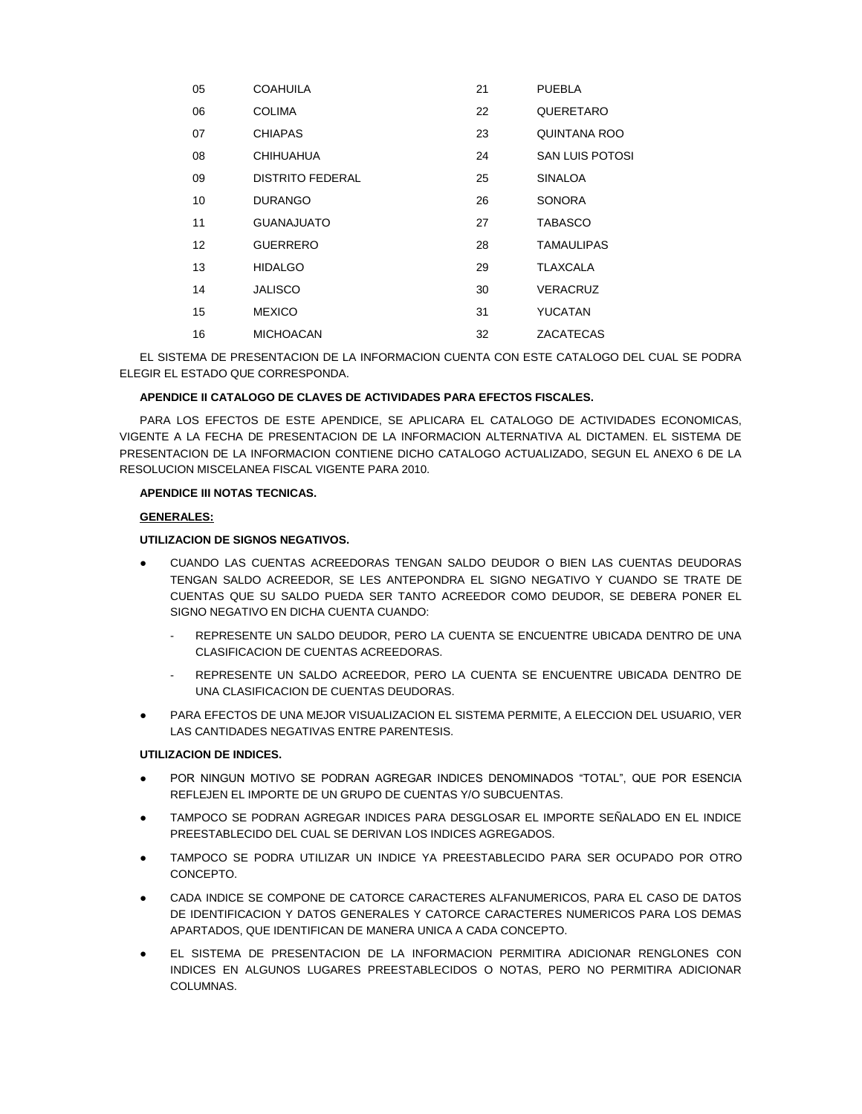| 05 | COAHUILA                | 21 | <b>PUEBLA</b>          |
|----|-------------------------|----|------------------------|
| 06 | <b>COLIMA</b>           | 22 | QUERETARO              |
| 07 | <b>CHIAPAS</b>          | 23 | <b>QUINTANA ROO</b>    |
| 08 | <b>CHIHUAHUA</b>        | 24 | <b>SAN LUIS POTOSI</b> |
| 09 | <b>DISTRITO FEDERAL</b> | 25 | <b>SINALOA</b>         |
| 10 | <b>DURANGO</b>          | 26 | <b>SONORA</b>          |
| 11 | <b>GUANAJUATO</b>       | 27 | <b>TABASCO</b>         |
| 12 | <b>GUERRERO</b>         | 28 | <b>TAMAULIPAS</b>      |
| 13 | <b>HIDALGO</b>          | 29 | TLAXCALA               |
| 14 | <b>JALISCO</b>          | 30 | <b>VERACRUZ</b>        |
| 15 | <b>MEXICO</b>           | 31 | <b>YUCATAN</b>         |
| 16 | <b>MICHOACAN</b>        | 32 | ZACATECAS              |

EL SISTEMA DE PRESENTACION DE LA INFORMACION CUENTA CON ESTE CATALOGO DEL CUAL SE PODRA ELEGIR EL ESTADO QUE CORRESPONDA.

### **APENDICE II CATALOGO DE CLAVES DE ACTIVIDADES PARA EFECTOS FISCALES.**

PARA LOS EFECTOS DE ESTE APENDICE, SE APLICARA EL CATALOGO DE ACTIVIDADES ECONOMICAS, VIGENTE A LA FECHA DE PRESENTACION DE LA INFORMACION ALTERNATIVA AL DICTAMEN. EL SISTEMA DE PRESENTACION DE LA INFORMACION CONTIENE DICHO CATALOGO ACTUALIZADO, SEGUN EL ANEXO 6 DE LA RESOLUCION MISCELANEA FISCAL VIGENTE PARA 2010.

## **APENDICE III NOTAS TECNICAS.**

## **GENERALES:**

## **UTILIZACION DE SIGNOS NEGATIVOS.**

- CUANDO LAS CUENTAS ACREEDORAS TENGAN SALDO DEUDOR O BIEN LAS CUENTAS DEUDORAS TENGAN SALDO ACREEDOR, SE LES ANTEPONDRA EL SIGNO NEGATIVO Y CUANDO SE TRATE DE CUENTAS QUE SU SALDO PUEDA SER TANTO ACREEDOR COMO DEUDOR, SE DEBERA PONER EL SIGNO NEGATIVO EN DICHA CUENTA CUANDO:
	- REPRESENTE UN SALDO DEUDOR, PERO LA CUENTA SE ENCUENTRE UBICADA DENTRO DE UNA CLASIFICACION DE CUENTAS ACREEDORAS.
	- REPRESENTE UN SALDO ACREEDOR, PERO LA CUENTA SE ENCUENTRE UBICADA DENTRO DE UNA CLASIFICACION DE CUENTAS DEUDORAS.
- PARA EFECTOS DE UNA MEJOR VISUALIZACION EL SISTEMA PERMITE, A ELECCION DEL USUARIO, VER LAS CANTIDADES NEGATIVAS ENTRE PARENTESIS.

### **UTILIZACION DE INDICES.**

- POR NINGUN MOTIVO SE PODRAN AGREGAR INDICES DENOMINADOS "TOTAL", QUE POR ESENCIA REFLEJEN EL IMPORTE DE UN GRUPO DE CUENTAS Y/O SUBCUENTAS.
- TAMPOCO SE PODRAN AGREGAR INDICES PARA DESGLOSAR EL IMPORTE SEÑALADO EN EL INDICE PREESTABLECIDO DEL CUAL SE DERIVAN LOS INDICES AGREGADOS.
- TAMPOCO SE PODRA UTILIZAR UN INDICE YA PREESTABLECIDO PARA SER OCUPADO POR OTRO CONCEPTO.
- CADA INDICE SE COMPONE DE CATORCE CARACTERES ALFANUMERICOS, PARA EL CASO DE DATOS DE IDENTIFICACION Y DATOS GENERALES Y CATORCE CARACTERES NUMERICOS PARA LOS DEMAS APARTADOS, QUE IDENTIFICAN DE MANERA UNICA A CADA CONCEPTO.
- EL SISTEMA DE PRESENTACION DE LA INFORMACION PERMITIRA ADICIONAR RENGLONES CON INDICES EN ALGUNOS LUGARES PREESTABLECIDOS O NOTAS, PERO NO PERMITIRA ADICIONAR COLUMNAS.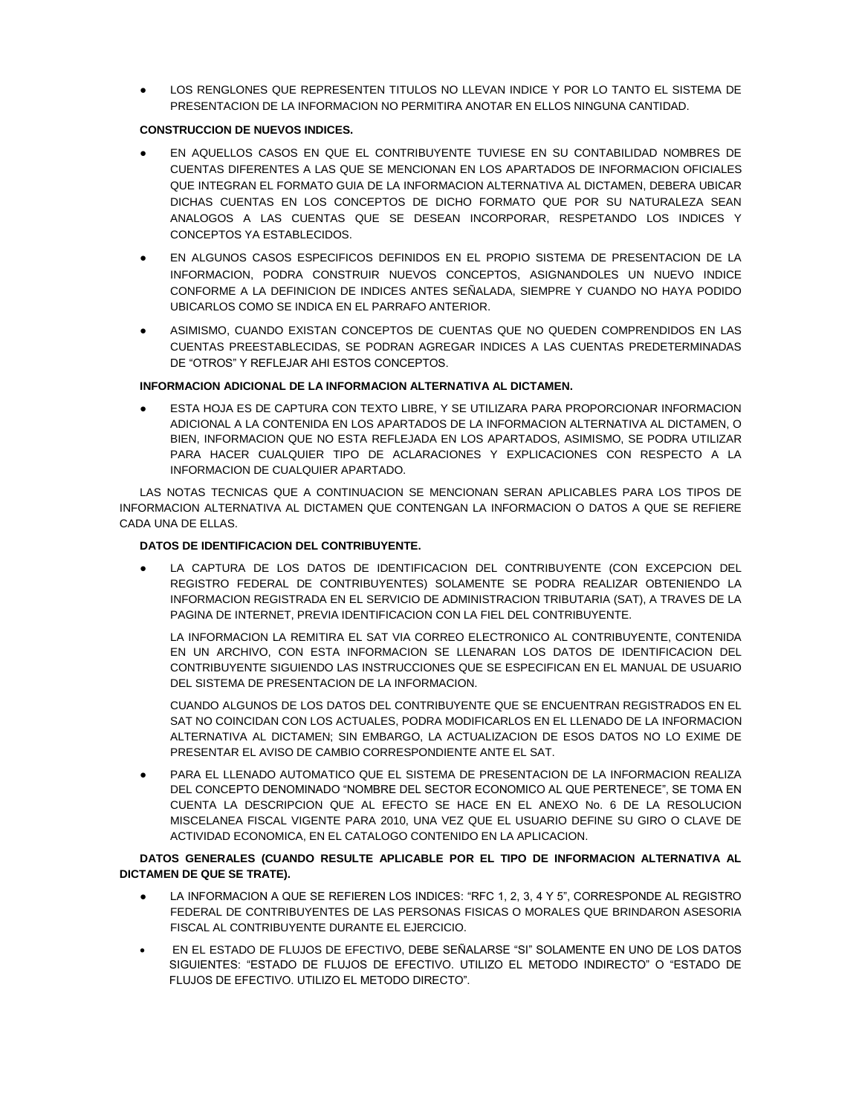LOS RENGLONES QUE REPRESENTEN TITULOS NO LLEVAN INDICE Y POR LO TANTO EL SISTEMA DE PRESENTACION DE LA INFORMACION NO PERMITIRA ANOTAR EN ELLOS NINGUNA CANTIDAD.

# **CONSTRUCCION DE NUEVOS INDICES.**

- EN AQUELLOS CASOS EN QUE EL CONTRIBUYENTE TUVIESE EN SU CONTABILIDAD NOMBRES DE CUENTAS DIFERENTES A LAS QUE SE MENCIONAN EN LOS APARTADOS DE INFORMACION OFICIALES QUE INTEGRAN EL FORMATO GUIA DE LA INFORMACION ALTERNATIVA AL DICTAMEN, DEBERA UBICAR DICHAS CUENTAS EN LOS CONCEPTOS DE DICHO FORMATO QUE POR SU NATURALEZA SEAN ANALOGOS A LAS CUENTAS QUE SE DESEAN INCORPORAR, RESPETANDO LOS INDICES Y CONCEPTOS YA ESTABLECIDOS.
- EN ALGUNOS CASOS ESPECIFICOS DEFINIDOS EN EL PROPIO SISTEMA DE PRESENTACION DE LA INFORMACION, PODRA CONSTRUIR NUEVOS CONCEPTOS, ASIGNANDOLES UN NUEVO INDICE CONFORME A LA DEFINICION DE INDICES ANTES SEÑALADA, SIEMPRE Y CUANDO NO HAYA PODIDO UBICARLOS COMO SE INDICA EN EL PARRAFO ANTERIOR.
- ASIMISMO, CUANDO EXISTAN CONCEPTOS DE CUENTAS QUE NO QUEDEN COMPRENDIDOS EN LAS CUENTAS PREESTABLECIDAS, SE PODRAN AGREGAR INDICES A LAS CUENTAS PREDETERMINADAS DE "OTROS" Y REFLEJAR AHI ESTOS CONCEPTOS.

# **INFORMACION ADICIONAL DE LA INFORMACION ALTERNATIVA AL DICTAMEN.**

ESTA HOJA ES DE CAPTURA CON TEXTO LIBRE, Y SE UTILIZARA PARA PROPORCIONAR INFORMACION ADICIONAL A LA CONTENIDA EN LOS APARTADOS DE LA INFORMACION ALTERNATIVA AL DICTAMEN, O BIEN, INFORMACION QUE NO ESTA REFLEJADA EN LOS APARTADOS, ASIMISMO, SE PODRA UTILIZAR PARA HACER CUALQUIER TIPO DE ACLARACIONES Y EXPLICACIONES CON RESPECTO A LA INFORMACION DE CUALQUIER APARTADO.

LAS NOTAS TECNICAS QUE A CONTINUACION SE MENCIONAN SERAN APLICABLES PARA LOS TIPOS DE INFORMACION ALTERNATIVA AL DICTAMEN QUE CONTENGAN LA INFORMACION O DATOS A QUE SE REFIERE CADA UNA DE ELLAS.

# **DATOS DE IDENTIFICACION DEL CONTRIBUYENTE.**

LA CAPTURA DE LOS DATOS DE IDENTIFICACION DEL CONTRIBUYENTE (CON EXCEPCION DEL REGISTRO FEDERAL DE CONTRIBUYENTES) SOLAMENTE SE PODRA REALIZAR OBTENIENDO LA INFORMACION REGISTRADA EN EL SERVICIO DE ADMINISTRACION TRIBUTARIA (SAT), A TRAVES DE LA PAGINA DE INTERNET, PREVIA IDENTIFICACION CON LA FIEL DEL CONTRIBUYENTE.

LA INFORMACION LA REMITIRA EL SAT VIA CORREO ELECTRONICO AL CONTRIBUYENTE, CONTENIDA EN UN ARCHIVO, CON ESTA INFORMACION SE LLENARAN LOS DATOS DE IDENTIFICACION DEL CONTRIBUYENTE SIGUIENDO LAS INSTRUCCIONES QUE SE ESPECIFICAN EN EL MANUAL DE USUARIO DEL SISTEMA DE PRESENTACION DE LA INFORMACION.

CUANDO ALGUNOS DE LOS DATOS DEL CONTRIBUYENTE QUE SE ENCUENTRAN REGISTRADOS EN EL SAT NO COINCIDAN CON LOS ACTUALES, PODRA MODIFICARLOS EN EL LLENADO DE LA INFORMACION ALTERNATIVA AL DICTAMEN; SIN EMBARGO, LA ACTUALIZACION DE ESOS DATOS NO LO EXIME DE PRESENTAR EL AVISO DE CAMBIO CORRESPONDIENTE ANTE EL SAT.

PARA EL LLENADO AUTOMATICO QUE EL SISTEMA DE PRESENTACION DE LA INFORMACION REALIZA DEL CONCEPTO DENOMINADO "NOMBRE DEL SECTOR ECONOMICO AL QUE PERTENECE", SE TOMA EN CUENTA LA DESCRIPCION QUE AL EFECTO SE HACE EN EL ANEXO No. 6 DE LA RESOLUCION MISCELANEA FISCAL VIGENTE PARA 2010, UNA VEZ QUE EL USUARIO DEFINE SU GIRO O CLAVE DE ACTIVIDAD ECONOMICA, EN EL CATALOGO CONTENIDO EN LA APLICACION.

# **DATOS GENERALES (CUANDO RESULTE APLICABLE POR EL TIPO DE INFORMACION ALTERNATIVA AL DICTAMEN DE QUE SE TRATE).**

- LA INFORMACION A QUE SE REFIEREN LOS INDICES: "RFC 1, 2, 3, 4 Y 5", CORRESPONDE AL REGISTRO FEDERAL DE CONTRIBUYENTES DE LAS PERSONAS FISICAS O MORALES QUE BRINDARON ASESORIA FISCAL AL CONTRIBUYENTE DURANTE EL EJERCICIO.
- EN EL ESTADO DE FLUJOS DE EFECTIVO, DEBE SEÑALARSE "SI" SOLAMENTE EN UNO DE LOS DATOS SIGUIENTES: "ESTADO DE FLUJOS DE EFECTIVO. UTILIZO EL METODO INDIRECTO" O "ESTADO DE FLUJOS DE EFECTIVO. UTILIZO EL METODO DIRECTO".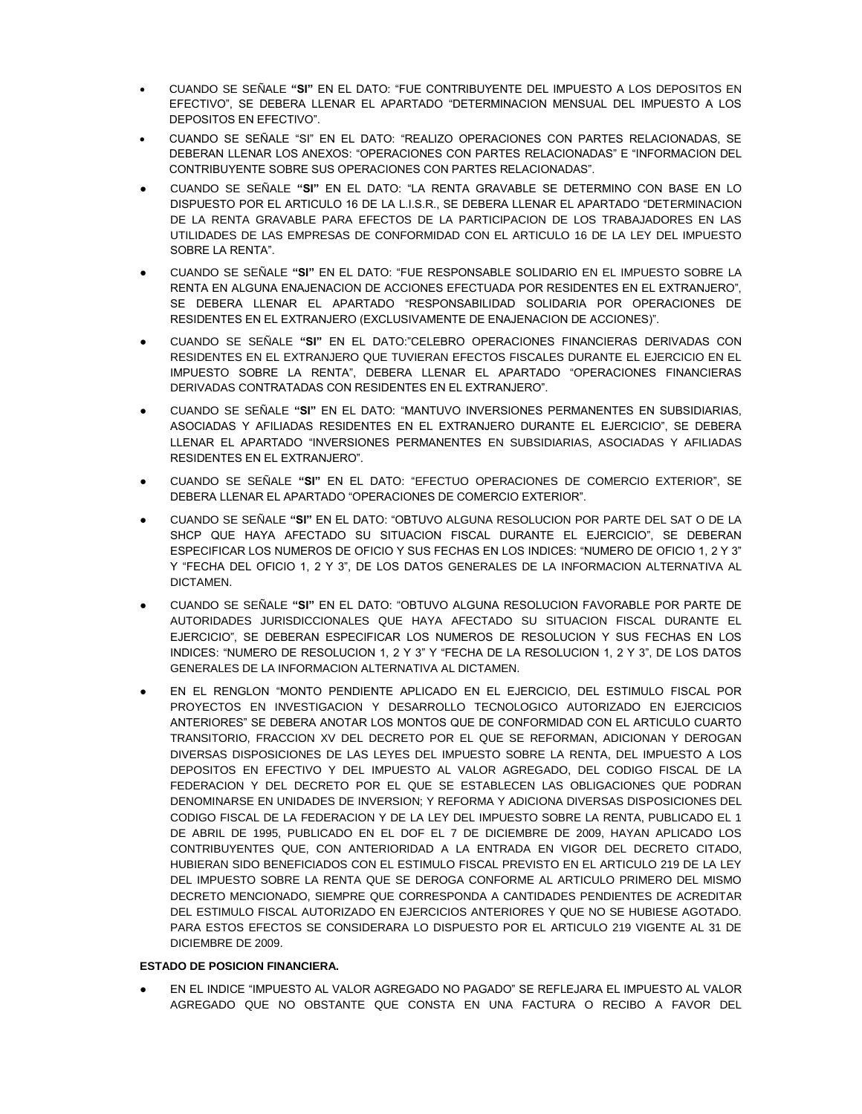- CUANDO SE SEÑALE **"SI"** EN EL DATO: "FUE CONTRIBUYENTE DEL IMPUESTO A LOS DEPOSITOS EN EFECTIVO", SE DEBERA LLENAR EL APARTADO "DETERMINACION MENSUAL DEL IMPUESTO A LOS DEPOSITOS EN EFECTIVO".
- CUANDO SE SEÑALE "SI" EN EL DATO: "REALIZO OPERACIONES CON PARTES RELACIONADAS, SE DEBERAN LLENAR LOS ANEXOS: "OPERACIONES CON PARTES RELACIONADAS" E "INFORMACION DEL CONTRIBUYENTE SOBRE SUS OPERACIONES CON PARTES RELACIONADAS".
- CUANDO SE SEÑALE **"SI"** EN EL DATO: "LA RENTA GRAVABLE SE DETERMINO CON BASE EN LO DISPUESTO POR EL ARTICULO 16 DE LA L.I.S.R., SE DEBERA LLENAR EL APARTADO "DETERMINACION DE LA RENTA GRAVABLE PARA EFECTOS DE LA PARTICIPACION DE LOS TRABAJADORES EN LAS UTILIDADES DE LAS EMPRESAS DE CONFORMIDAD CON EL ARTICULO 16 DE LA LEY DEL IMPUESTO SOBRE LA RENTA".
- CUANDO SE SEÑALE **"SI"** EN EL DATO: "FUE RESPONSABLE SOLIDARIO EN EL IMPUESTO SOBRE LA RENTA EN ALGUNA ENAJENACION DE ACCIONES EFECTUADA POR RESIDENTES EN EL EXTRANJERO", SE DEBERA LLENAR EL APARTADO "RESPONSABILIDAD SOLIDARIA POR OPERACIONES DE RESIDENTES EN EL EXTRANJERO (EXCLUSIVAMENTE DE ENAJENACION DE ACCIONES)".
- CUANDO SE SEÑALE **"SI"** EN EL DATO:"CELEBRO OPERACIONES FINANCIERAS DERIVADAS CON RESIDENTES EN EL EXTRANJERO QUE TUVIERAN EFECTOS FISCALES DURANTE EL EJERCICIO EN EL IMPUESTO SOBRE LA RENTA", DEBERA LLENAR EL APARTADO "OPERACIONES FINANCIERAS DERIVADAS CONTRATADAS CON RESIDENTES EN EL EXTRANJERO".
- CUANDO SE SEÑALE **"SI"** EN EL DATO: "MANTUVO INVERSIONES PERMANENTES EN SUBSIDIARIAS, ASOCIADAS Y AFILIADAS RESIDENTES EN EL EXTRANJERO DURANTE EL EJERCICIO", SE DEBERA LLENAR EL APARTADO "INVERSIONES PERMANENTES EN SUBSIDIARIAS, ASOCIADAS Y AFILIADAS RESIDENTES EN EL EXTRANJERO".
- CUANDO SE SEÑALE **"SI"** EN EL DATO: "EFECTUO OPERACIONES DE COMERCIO EXTERIOR", SE DEBERA LLENAR EL APARTADO "OPERACIONES DE COMERCIO EXTERIOR".
- CUANDO SE SEÑALE **"SI"** EN EL DATO: "OBTUVO ALGUNA RESOLUCION POR PARTE DEL SAT O DE LA SHCP QUE HAYA AFECTADO SU SITUACION FISCAL DURANTE EL EJERCICIO", SE DEBERAN ESPECIFICAR LOS NUMEROS DE OFICIO Y SUS FECHAS EN LOS INDICES: "NUMERO DE OFICIO 1, 2 Y 3" Y "FECHA DEL OFICIO 1, 2 Y 3", DE LOS DATOS GENERALES DE LA INFORMACION ALTERNATIVA AL DICTAMEN.
- CUANDO SE SEÑALE **"SI"** EN EL DATO: "OBTUVO ALGUNA RESOLUCION FAVORABLE POR PARTE DE AUTORIDADES JURISDICCIONALES QUE HAYA AFECTADO SU SITUACION FISCAL DURANTE EL EJERCICIO", SE DEBERAN ESPECIFICAR LOS NUMEROS DE RESOLUCION Y SUS FECHAS EN LOS INDICES: "NUMERO DE RESOLUCION 1, 2 Y 3" Y "FECHA DE LA RESOLUCION 1, 2 Y 3", DE LOS DATOS GENERALES DE LA INFORMACION ALTERNATIVA AL DICTAMEN.
- EN EL RENGLON "MONTO PENDIENTE APLICADO EN EL EJERCICIO, DEL ESTIMULO FISCAL POR PROYECTOS EN INVESTIGACION Y DESARROLLO TECNOLOGICO AUTORIZADO EN EJERCICIOS ANTERIORES" SE DEBERA ANOTAR LOS MONTOS QUE DE CONFORMIDAD CON EL ARTICULO CUARTO TRANSITORIO, FRACCION XV DEL DECRETO POR EL QUE SE REFORMAN, ADICIONAN Y DEROGAN DIVERSAS DISPOSICIONES DE LAS LEYES DEL IMPUESTO SOBRE LA RENTA, DEL IMPUESTO A LOS DEPOSITOS EN EFECTIVO Y DEL IMPUESTO AL VALOR AGREGADO, DEL CODIGO FISCAL DE LA FEDERACION Y DEL DECRETO POR EL QUE SE ESTABLECEN LAS OBLIGACIONES QUE PODRAN DENOMINARSE EN UNIDADES DE INVERSION; Y REFORMA Y ADICIONA DIVERSAS DISPOSICIONES DEL CODIGO FISCAL DE LA FEDERACION Y DE LA LEY DEL IMPUESTO SOBRE LA RENTA, PUBLICADO EL 1 DE ABRIL DE 1995, PUBLICADO EN EL DOF EL 7 DE DICIEMBRE DE 2009, HAYAN APLICADO LOS CONTRIBUYENTES QUE, CON ANTERIORIDAD A LA ENTRADA EN VIGOR DEL DECRETO CITADO, HUBIERAN SIDO BENEFICIADOS CON EL ESTIMULO FISCAL PREVISTO EN EL ARTICULO 219 DE LA LEY DEL IMPUESTO SOBRE LA RENTA QUE SE DEROGA CONFORME AL ARTICULO PRIMERO DEL MISMO DECRETO MENCIONADO, SIEMPRE QUE CORRESPONDA A CANTIDADES PENDIENTES DE ACREDITAR DEL ESTIMULO FISCAL AUTORIZADO EN EJERCICIOS ANTERIORES Y QUE NO SE HUBIESE AGOTADO. PARA ESTOS EFECTOS SE CONSIDERARA LO DISPUESTO POR EL ARTICULO 219 VIGENTE AL 31 DE DICIEMBRE DE 2009.

### **ESTADO DE POSICION FINANCIERA.**

● EN EL INDICE "IMPUESTO AL VALOR AGREGADO NO PAGADO" SE REFLEJARA EL IMPUESTO AL VALOR AGREGADO QUE NO OBSTANTE QUE CONSTA EN UNA FACTURA O RECIBO A FAVOR DEL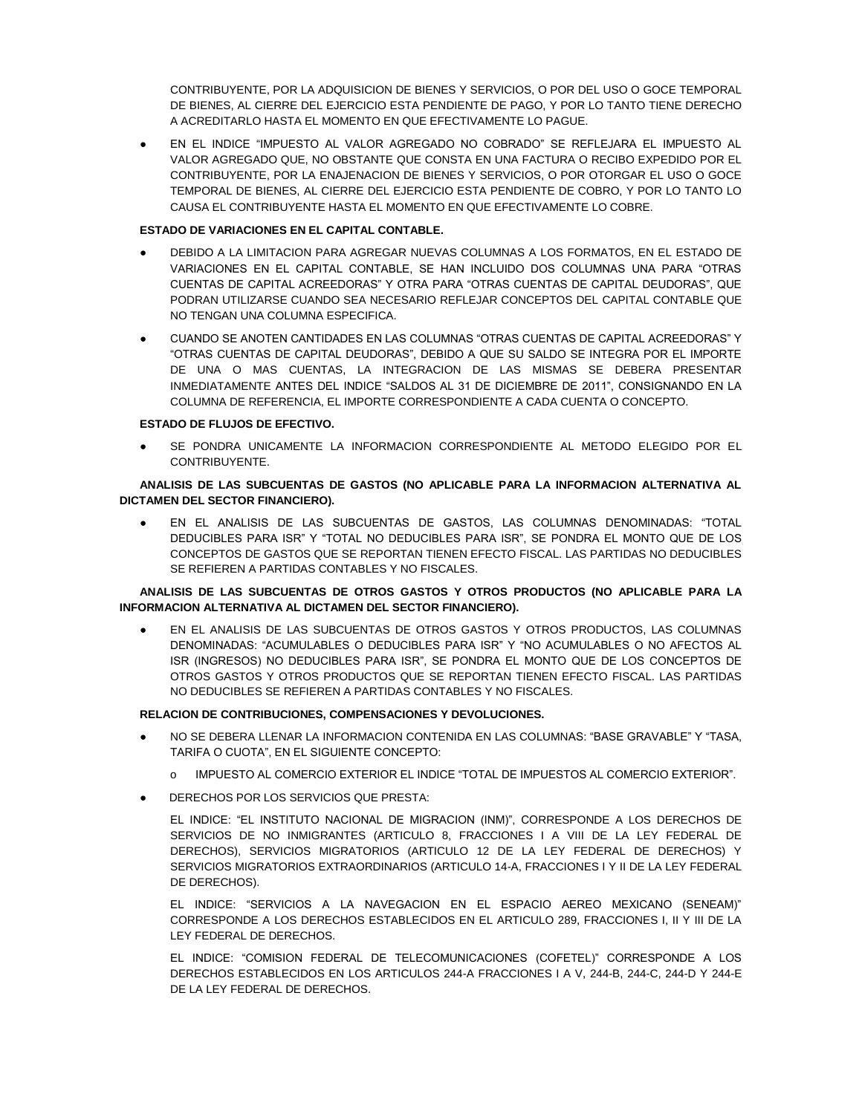CONTRIBUYENTE, POR LA ADQUISICION DE BIENES Y SERVICIOS, O POR DEL USO O GOCE TEMPORAL DE BIENES, AL CIERRE DEL EJERCICIO ESTA PENDIENTE DE PAGO, Y POR LO TANTO TIENE DERECHO A ACREDITARLO HASTA EL MOMENTO EN QUE EFECTIVAMENTE LO PAGUE.

● EN EL INDICE "IMPUESTO AL VALOR AGREGADO NO COBRADO" SE REFLEJARA EL IMPUESTO AL VALOR AGREGADO QUE, NO OBSTANTE QUE CONSTA EN UNA FACTURA O RECIBO EXPEDIDO POR EL CONTRIBUYENTE, POR LA ENAJENACION DE BIENES Y SERVICIOS, O POR OTORGAR EL USO O GOCE TEMPORAL DE BIENES, AL CIERRE DEL EJERCICIO ESTA PENDIENTE DE COBRO, Y POR LO TANTO LO CAUSA EL CONTRIBUYENTE HASTA EL MOMENTO EN QUE EFECTIVAMENTE LO COBRE.

## **ESTADO DE VARIACIONES EN EL CAPITAL CONTABLE.**

- DEBIDO A LA LIMITACION PARA AGREGAR NUEVAS COLUMNAS A LOS FORMATOS, EN EL ESTADO DE VARIACIONES EN EL CAPITAL CONTABLE, SE HAN INCLUIDO DOS COLUMNAS UNA PARA "OTRAS CUENTAS DE CAPITAL ACREEDORAS" Y OTRA PARA "OTRAS CUENTAS DE CAPITAL DEUDORAS", QUE PODRAN UTILIZARSE CUANDO SEA NECESARIO REFLEJAR CONCEPTOS DEL CAPITAL CONTABLE QUE NO TENGAN UNA COLUMNA ESPECIFICA.
- CUANDO SE ANOTEN CANTIDADES EN LAS COLUMNAS "OTRAS CUENTAS DE CAPITAL ACREEDORAS" Y "OTRAS CUENTAS DE CAPITAL DEUDORAS", DEBIDO A QUE SU SALDO SE INTEGRA POR EL IMPORTE DE UNA O MAS CUENTAS, LA INTEGRACION DE LAS MISMAS SE DEBERA PRESENTAR INMEDIATAMENTE ANTES DEL INDICE "SALDOS AL 31 DE DICIEMBRE DE 2011", CONSIGNANDO EN LA COLUMNA DE REFERENCIA, EL IMPORTE CORRESPONDIENTE A CADA CUENTA O CONCEPTO.

## **ESTADO DE FLUJOS DE EFECTIVO.**

SE PONDRA UNICAMENTE LA INFORMACION CORRESPONDIENTE AL METODO ELEGIDO POR EL CONTRIBUYENTE.

## **ANALISIS DE LAS SUBCUENTAS DE GASTOS (NO APLICABLE PARA LA INFORMACION ALTERNATIVA AL DICTAMEN DEL SECTOR FINANCIERO).**

● EN EL ANALISIS DE LAS SUBCUENTAS DE GASTOS, LAS COLUMNAS DENOMINADAS: "TOTAL DEDUCIBLES PARA ISR" Y "TOTAL NO DEDUCIBLES PARA ISR", SE PONDRA EL MONTO QUE DE LOS CONCEPTOS DE GASTOS QUE SE REPORTAN TIENEN EFECTO FISCAL. LAS PARTIDAS NO DEDUCIBLES SE REFIEREN A PARTIDAS CONTABLES Y NO FISCALES.

# **ANALISIS DE LAS SUBCUENTAS DE OTROS GASTOS Y OTROS PRODUCTOS (NO APLICABLE PARA LA INFORMACION ALTERNATIVA AL DICTAMEN DEL SECTOR FINANCIERO).**

EN EL ANALISIS DE LAS SUBCUENTAS DE OTROS GASTOS Y OTROS PRODUCTOS, LAS COLUMNAS DENOMINADAS: "ACUMULABLES O DEDUCIBLES PARA ISR" Y "NO ACUMULABLES O NO AFECTOS AL ISR (INGRESOS) NO DEDUCIBLES PARA ISR", SE PONDRA EL MONTO QUE DE LOS CONCEPTOS DE OTROS GASTOS Y OTROS PRODUCTOS QUE SE REPORTAN TIENEN EFECTO FISCAL. LAS PARTIDAS NO DEDUCIBLES SE REFIEREN A PARTIDAS CONTABLES Y NO FISCALES.

# **RELACION DE CONTRIBUCIONES, COMPENSACIONES Y DEVOLUCIONES.**

- NO SE DEBERA LLENAR LA INFORMACION CONTENIDA EN LAS COLUMNAS: "BASE GRAVABLE" Y "TASA, TARIFA O CUOTA", EN EL SIGUIENTE CONCEPTO:
	- o IMPUESTO AL COMERCIO EXTERIOR EL INDICE "TOTAL DE IMPUESTOS AL COMERCIO EXTERIOR".
- DERECHOS POR LOS SERVICIOS QUE PRESTA:

EL INDICE: "EL INSTITUTO NACIONAL DE MIGRACION (INM)", CORRESPONDE A LOS DERECHOS DE SERVICIOS DE NO INMIGRANTES (ARTICULO 8, FRACCIONES I A VIII DE LA LEY FEDERAL DE DERECHOS), SERVICIOS MIGRATORIOS (ARTICULO 12 DE LA LEY FEDERAL DE DERECHOS) Y SERVICIOS MIGRATORIOS EXTRAORDINARIOS (ARTICULO 14-A, FRACCIONES I Y II DE LA LEY FEDERAL DE DERECHOS).

EL INDICE: "SERVICIOS A LA NAVEGACION EN EL ESPACIO AEREO MEXICANO (SENEAM)" CORRESPONDE A LOS DERECHOS ESTABLECIDOS EN EL ARTICULO 289, FRACCIONES I, II Y III DE LA LEY FEDERAL DE DERECHOS.

EL INDICE: "COMISION FEDERAL DE TELECOMUNICACIONES (COFETEL)" CORRESPONDE A LOS DERECHOS ESTABLECIDOS EN LOS ARTICULOS 244-A FRACCIONES I A V, 244-B, 244-C, 244-D Y 244-E DE LA LEY FEDERAL DE DERECHOS.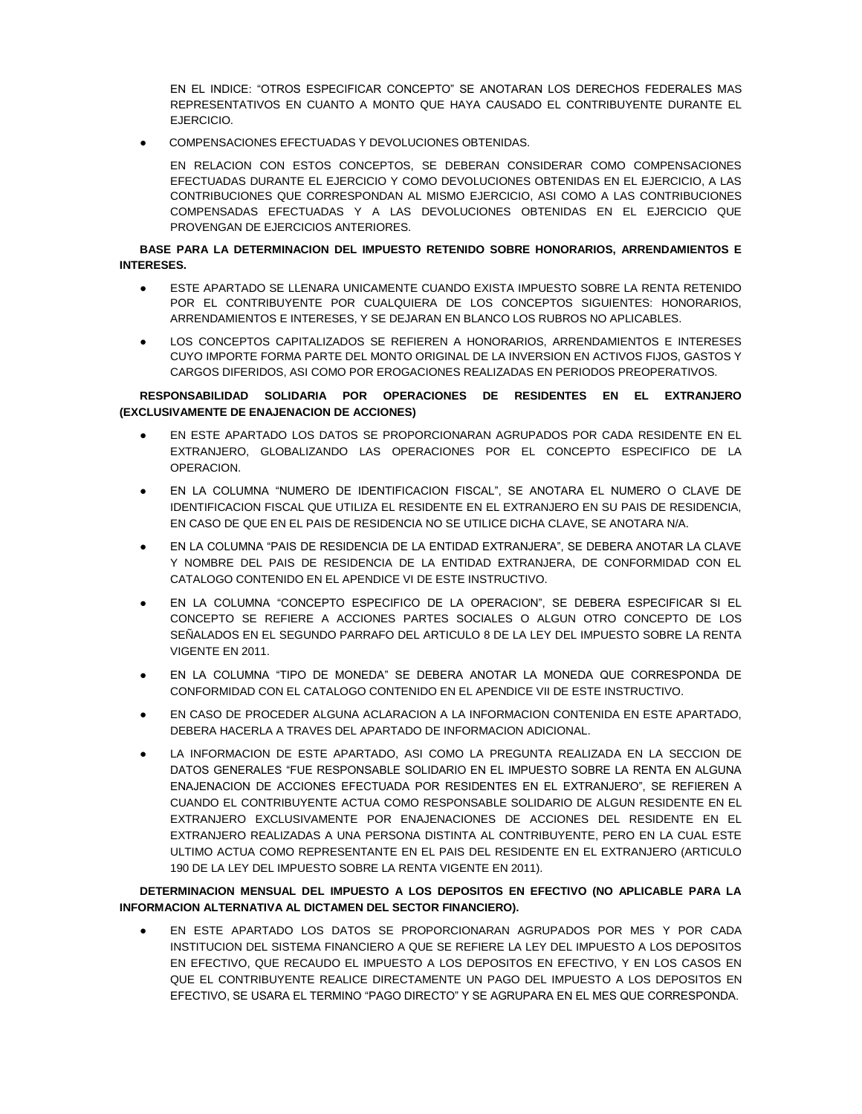EN EL INDICE: "OTROS ESPECIFICAR CONCEPTO" SE ANOTARAN LOS DERECHOS FEDERALES MAS REPRESENTATIVOS EN CUANTO A MONTO QUE HAYA CAUSADO EL CONTRIBUYENTE DURANTE EL EJERCICIO.

COMPENSACIONES EFECTUADAS Y DEVOLUCIONES OBTENIDAS.

EN RELACION CON ESTOS CONCEPTOS, SE DEBERAN CONSIDERAR COMO COMPENSACIONES EFECTUADAS DURANTE EL EJERCICIO Y COMO DEVOLUCIONES OBTENIDAS EN EL EJERCICIO, A LAS CONTRIBUCIONES QUE CORRESPONDAN AL MISMO EJERCICIO, ASI COMO A LAS CONTRIBUCIONES COMPENSADAS EFECTUADAS Y A LAS DEVOLUCIONES OBTENIDAS EN EL EJERCICIO QUE PROVENGAN DE EJERCICIOS ANTERIORES.

## **BASE PARA LA DETERMINACION DEL IMPUESTO RETENIDO SOBRE HONORARIOS, ARRENDAMIENTOS E INTERESES.**

- ESTE APARTADO SE LLENARA UNICAMENTE CUANDO EXISTA IMPUESTO SOBRE LA RENTA RETENIDO POR EL CONTRIBUYENTE POR CUALQUIERA DE LOS CONCEPTOS SIGUIENTES: HONORARIOS, ARRENDAMIENTOS E INTERESES, Y SE DEJARAN EN BLANCO LOS RUBROS NO APLICABLES.
- LOS CONCEPTOS CAPITALIZADOS SE REFIEREN A HONORARIOS, ARRENDAMIENTOS E INTERESES CUYO IMPORTE FORMA PARTE DEL MONTO ORIGINAL DE LA INVERSION EN ACTIVOS FIJOS, GASTOS Y CARGOS DIFERIDOS, ASI COMO POR EROGACIONES REALIZADAS EN PERIODOS PREOPERATIVOS.

## **RESPONSABILIDAD SOLIDARIA POR OPERACIONES DE RESIDENTES EN EL EXTRANJERO (EXCLUSIVAMENTE DE ENAJENACION DE ACCIONES)**

- EN ESTE APARTADO LOS DATOS SE PROPORCIONARAN AGRUPADOS POR CADA RESIDENTE EN EL EXTRANJERO, GLOBALIZANDO LAS OPERACIONES POR EL CONCEPTO ESPECIFICO DE LA OPERACION.
- EN LA COLUMNA "NUMERO DE IDENTIFICACION FISCAL", SE ANOTARA EL NUMERO O CLAVE DE IDENTIFICACION FISCAL QUE UTILIZA EL RESIDENTE EN EL EXTRANJERO EN SU PAIS DE RESIDENCIA, EN CASO DE QUE EN EL PAIS DE RESIDENCIA NO SE UTILICE DICHA CLAVE, SE ANOTARA N/A.
- EN LA COLUMNA "PAIS DE RESIDENCIA DE LA ENTIDAD EXTRANJERA", SE DEBERA ANOTAR LA CLAVE Y NOMBRE DEL PAIS DE RESIDENCIA DE LA ENTIDAD EXTRANJERA, DE CONFORMIDAD CON EL CATALOGO CONTENIDO EN EL APENDICE VI DE ESTE INSTRUCTIVO.
- EN LA COLUMNA "CONCEPTO ESPECIFICO DE LA OPERACION", SE DEBERA ESPECIFICAR SI EL CONCEPTO SE REFIERE A ACCIONES PARTES SOCIALES O ALGUN OTRO CONCEPTO DE LOS SEÑALADOS EN EL SEGUNDO PARRAFO DEL ARTICULO 8 DE LA LEY DEL IMPUESTO SOBRE LA RENTA VIGENTE EN 2011.
- EN LA COLUMNA "TIPO DE MONEDA" SE DEBERA ANOTAR LA MONEDA QUE CORRESPONDA DE CONFORMIDAD CON EL CATALOGO CONTENIDO EN EL APENDICE VII DE ESTE INSTRUCTIVO.
- EN CASO DE PROCEDER ALGUNA ACLARACION A LA INFORMACION CONTENIDA EN ESTE APARTADO, DEBERA HACERLA A TRAVES DEL APARTADO DE INFORMACION ADICIONAL.
- LA INFORMACION DE ESTE APARTADO, ASI COMO LA PREGUNTA REALIZADA EN LA SECCION DE DATOS GENERALES "FUE RESPONSABLE SOLIDARIO EN EL IMPUESTO SOBRE LA RENTA EN ALGUNA ENAJENACION DE ACCIONES EFECTUADA POR RESIDENTES EN EL EXTRANJERO", SE REFIEREN A CUANDO EL CONTRIBUYENTE ACTUA COMO RESPONSABLE SOLIDARIO DE ALGUN RESIDENTE EN EL EXTRANJERO EXCLUSIVAMENTE POR ENAJENACIONES DE ACCIONES DEL RESIDENTE EN EL EXTRANJERO REALIZADAS A UNA PERSONA DISTINTA AL CONTRIBUYENTE, PERO EN LA CUAL ESTE ULTIMO ACTUA COMO REPRESENTANTE EN EL PAIS DEL RESIDENTE EN EL EXTRANJERO (ARTICULO 190 DE LA LEY DEL IMPUESTO SOBRE LA RENTA VIGENTE EN 2011).

# **DETERMINACION MENSUAL DEL IMPUESTO A LOS DEPOSITOS EN EFECTIVO (NO APLICABLE PARA LA INFORMACION ALTERNATIVA AL DICTAMEN DEL SECTOR FINANCIERO).**

EN ESTE APARTADO LOS DATOS SE PROPORCIONARAN AGRUPADOS POR MES Y POR CADA INSTITUCION DEL SISTEMA FINANCIERO A QUE SE REFIERE LA LEY DEL IMPUESTO A LOS DEPOSITOS EN EFECTIVO, QUE RECAUDO EL IMPUESTO A LOS DEPOSITOS EN EFECTIVO, Y EN LOS CASOS EN QUE EL CONTRIBUYENTE REALICE DIRECTAMENTE UN PAGO DEL IMPUESTO A LOS DEPOSITOS EN EFECTIVO, SE USARA EL TERMINO "PAGO DIRECTO" Y SE AGRUPARA EN EL MES QUE CORRESPONDA.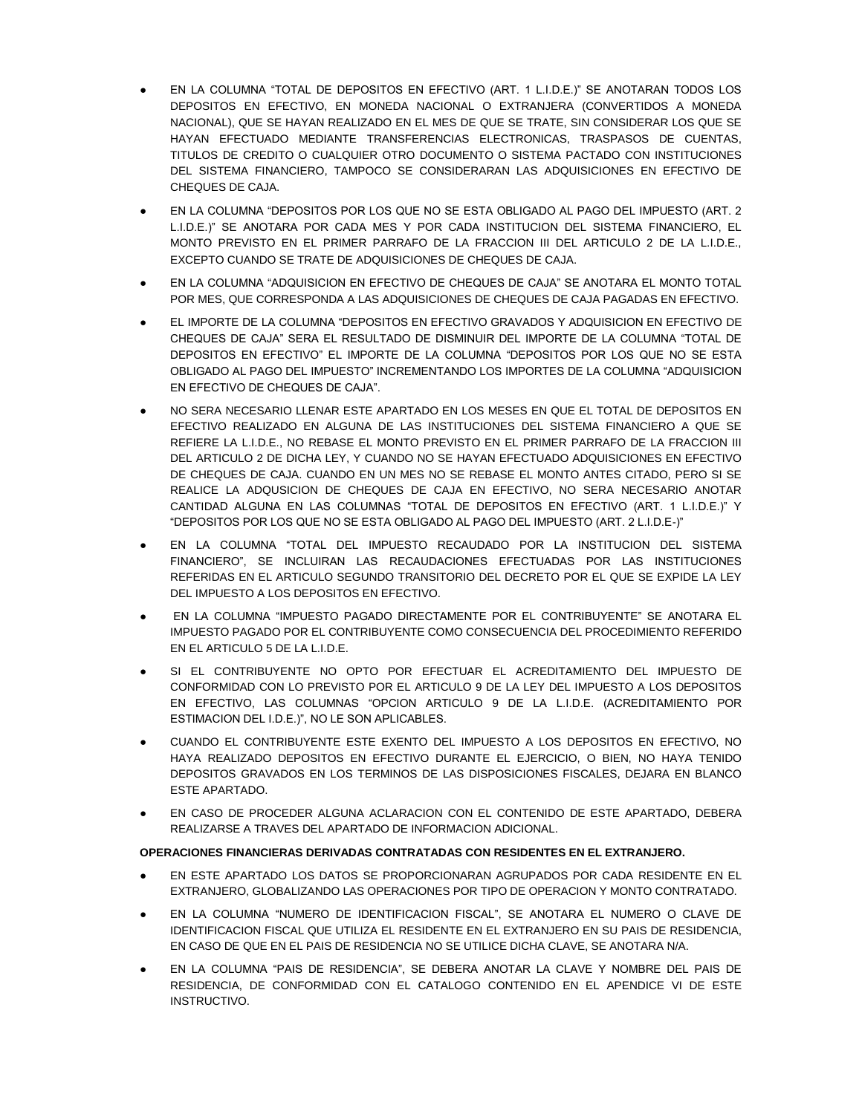- EN LA COLUMNA "TOTAL DE DEPOSITOS EN EFECTIVO (ART. 1 L.I.D.E.)" SE ANOTARAN TODOS LOS DEPOSITOS EN EFECTIVO, EN MONEDA NACIONAL O EXTRANJERA (CONVERTIDOS A MONEDA NACIONAL), QUE SE HAYAN REALIZADO EN EL MES DE QUE SE TRATE, SIN CONSIDERAR LOS QUE SE HAYAN EFECTUADO MEDIANTE TRANSFERENCIAS ELECTRONICAS, TRASPASOS DE CUENTAS, TITULOS DE CREDITO O CUALQUIER OTRO DOCUMENTO O SISTEMA PACTADO CON INSTITUCIONES DEL SISTEMA FINANCIERO, TAMPOCO SE CONSIDERARAN LAS ADQUISICIONES EN EFECTIVO DE CHEQUES DE CAJA.
- EN LA COLUMNA "DEPOSITOS POR LOS QUE NO SE ESTA OBLIGADO AL PAGO DEL IMPUESTO (ART. 2 L.I.D.E.)" SE ANOTARA POR CADA MES Y POR CADA INSTITUCION DEL SISTEMA FINANCIERO, EL MONTO PREVISTO EN EL PRIMER PARRAFO DE LA FRACCION III DEL ARTICULO 2 DE LA L.I.D.E., EXCEPTO CUANDO SE TRATE DE ADQUISICIONES DE CHEQUES DE CAJA.
- EN LA COLUMNA "ADQUISICION EN EFECTIVO DE CHEQUES DE CAJA" SE ANOTARA EL MONTO TOTAL POR MES, QUE CORRESPONDA A LAS ADQUISICIONES DE CHEQUES DE CAJA PAGADAS EN EFECTIVO.
- EL IMPORTE DE LA COLUMNA "DEPOSITOS EN EFECTIVO GRAVADOS Y ADQUISICION EN EFECTIVO DE CHEQUES DE CAJA" SERA EL RESULTADO DE DISMINUIR DEL IMPORTE DE LA COLUMNA "TOTAL DE DEPOSITOS EN EFECTIVO" EL IMPORTE DE LA COLUMNA "DEPOSITOS POR LOS QUE NO SE ESTA OBLIGADO AL PAGO DEL IMPUESTO" INCREMENTANDO LOS IMPORTES DE LA COLUMNA "ADQUISICION EN EFECTIVO DE CHEQUES DE CAJA".
- NO SERA NECESARIO LLENAR ESTE APARTADO EN LOS MESES EN QUE EL TOTAL DE DEPOSITOS EN EFECTIVO REALIZADO EN ALGUNA DE LAS INSTITUCIONES DEL SISTEMA FINANCIERO A QUE SE REFIERE LA L.I.D.E., NO REBASE EL MONTO PREVISTO EN EL PRIMER PARRAFO DE LA FRACCION III DEL ARTICULO 2 DE DICHA LEY, Y CUANDO NO SE HAYAN EFECTUADO ADQUISICIONES EN EFECTIVO DE CHEQUES DE CAJA. CUANDO EN UN MES NO SE REBASE EL MONTO ANTES CITADO, PERO SI SE REALICE LA ADQUSICION DE CHEQUES DE CAJA EN EFECTIVO, NO SERA NECESARIO ANOTAR CANTIDAD ALGUNA EN LAS COLUMNAS "TOTAL DE DEPOSITOS EN EFECTIVO (ART. 1 L.I.D.E.)" Y "DEPOSITOS POR LOS QUE NO SE ESTA OBLIGADO AL PAGO DEL IMPUESTO (ART. 2 L.I.D.E-)"
- EN LA COLUMNA "TOTAL DEL IMPUESTO RECAUDADO POR LA INSTITUCION DEL SISTEMA FINANCIERO", SE INCLUIRAN LAS RECAUDACIONES EFECTUADAS POR LAS INSTITUCIONES REFERIDAS EN EL ARTICULO SEGUNDO TRANSITORIO DEL DECRETO POR EL QUE SE EXPIDE LA LEY DEL IMPUESTO A LOS DEPOSITOS EN EFECTIVO.
- EN LA COLUMNA "IMPUESTO PAGADO DIRECTAMENTE POR EL CONTRIBUYENTE" SE ANOTARA EL IMPUESTO PAGADO POR EL CONTRIBUYENTE COMO CONSECUENCIA DEL PROCEDIMIENTO REFERIDO EN EL ARTICULO 5 DE LA L.I.D.E.
- SI EL CONTRIBUYENTE NO OPTO POR EFECTUAR EL ACREDITAMIENTO DEL IMPUESTO DE CONFORMIDAD CON LO PREVISTO POR EL ARTICULO 9 DE LA LEY DEL IMPUESTO A LOS DEPOSITOS EN EFECTIVO, LAS COLUMNAS "OPCION ARTICULO 9 DE LA L.I.D.E. (ACREDITAMIENTO POR ESTIMACION DEL I.D.E.)", NO LE SON APLICABLES.
- CUANDO EL CONTRIBUYENTE ESTE EXENTO DEL IMPUESTO A LOS DEPOSITOS EN EFECTIVO, NO HAYA REALIZADO DEPOSITOS EN EFECTIVO DURANTE EL EJERCICIO, O BIEN, NO HAYA TENIDO DEPOSITOS GRAVADOS EN LOS TERMINOS DE LAS DISPOSICIONES FISCALES, DEJARA EN BLANCO ESTE APARTADO.
- EN CASO DE PROCEDER ALGUNA ACLARACION CON EL CONTENIDO DE ESTE APARTADO, DEBERA REALIZARSE A TRAVES DEL APARTADO DE INFORMACION ADICIONAL.

# **OPERACIONES FINANCIERAS DERIVADAS CONTRATADAS CON RESIDENTES EN EL EXTRANJERO.**

- EN ESTE APARTADO LOS DATOS SE PROPORCIONARAN AGRUPADOS POR CADA RESIDENTE EN EL EXTRANJERO, GLOBALIZANDO LAS OPERACIONES POR TIPO DE OPERACION Y MONTO CONTRATADO.
- EN LA COLUMNA "NUMERO DE IDENTIFICACION FISCAL", SE ANOTARA EL NUMERO O CLAVE DE IDENTIFICACION FISCAL QUE UTILIZA EL RESIDENTE EN EL EXTRANJERO EN SU PAIS DE RESIDENCIA, EN CASO DE QUE EN EL PAIS DE RESIDENCIA NO SE UTILICE DICHA CLAVE, SE ANOTARA N/A.
- EN LA COLUMNA "PAIS DE RESIDENCIA", SE DEBERA ANOTAR LA CLAVE Y NOMBRE DEL PAIS DE RESIDENCIA, DE CONFORMIDAD CON EL CATALOGO CONTENIDO EN EL APENDICE VI DE ESTE INSTRUCTIVO.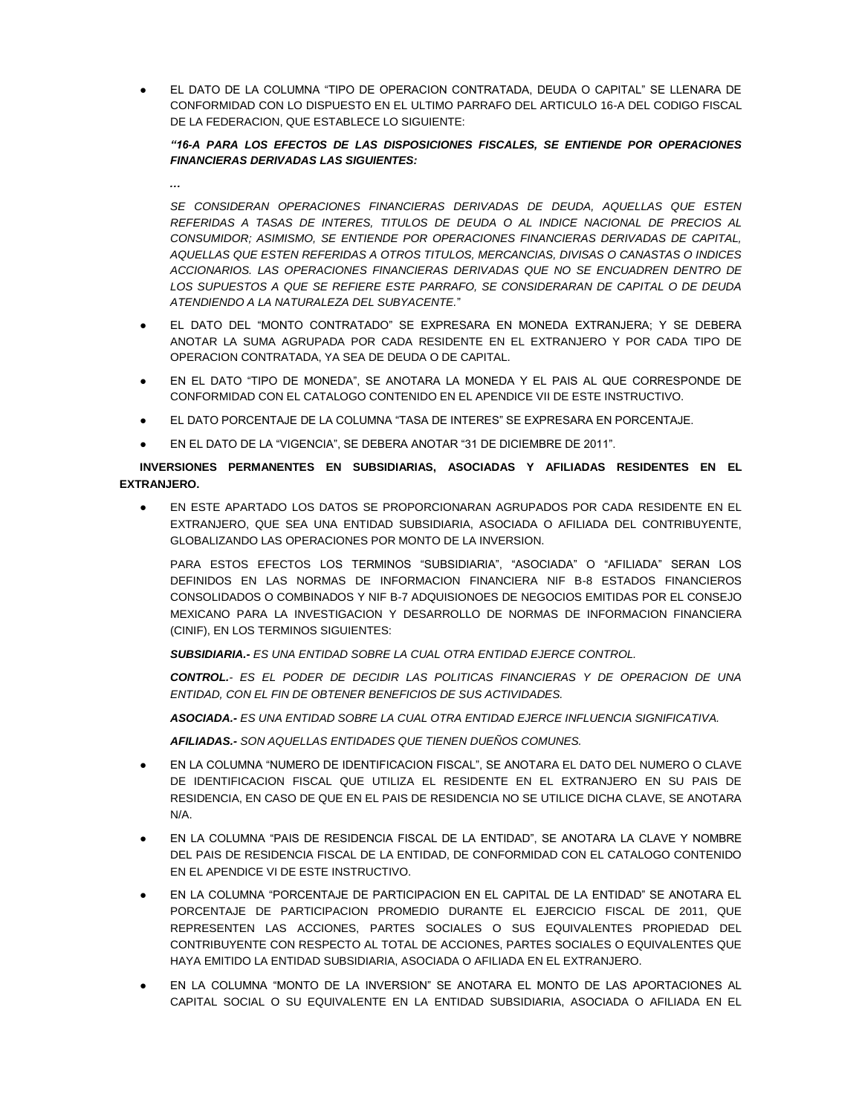EL DATO DE LA COLUMNA "TIPO DE OPERACION CONTRATADA, DEUDA O CAPITAL" SE LLENARA DE CONFORMIDAD CON LO DISPUESTO EN EL ULTIMO PARRAFO DEL ARTICULO 16-A DEL CODIGO FISCAL DE LA FEDERACION, QUE ESTABLECE LO SIGUIENTE:

# *"16-A PARA LOS EFECTOS DE LAS DISPOSICIONES FISCALES, SE ENTIENDE POR OPERACIONES FINANCIERAS DERIVADAS LAS SIGUIENTES:*

*…*

*SE CONSIDERAN OPERACIONES FINANCIERAS DERIVADAS DE DEUDA, AQUELLAS QUE ESTEN REFERIDAS A TASAS DE INTERES, TITULOS DE DEUDA O AL INDICE NACIONAL DE PRECIOS AL CONSUMIDOR; ASIMISMO, SE ENTIENDE POR OPERACIONES FINANCIERAS DERIVADAS DE CAPITAL, AQUELLAS QUE ESTEN REFERIDAS A OTROS TITULOS, MERCANCIAS, DIVISAS O CANASTAS O INDICES ACCIONARIOS. LAS OPERACIONES FINANCIERAS DERIVADAS QUE NO SE ENCUADREN DENTRO DE LOS SUPUESTOS A QUE SE REFIERE ESTE PARRAFO, SE CONSIDERARAN DE CAPITAL O DE DEUDA ATENDIENDO A LA NATURALEZA DEL SUBYACENTE.*"

- EL DATO DEL "MONTO CONTRATADO" SE EXPRESARA EN MONEDA EXTRANJERA; Y SE DEBERA ANOTAR LA SUMA AGRUPADA POR CADA RESIDENTE EN EL EXTRANJERO Y POR CADA TIPO DE OPERACION CONTRATADA, YA SEA DE DEUDA O DE CAPITAL.
- EN EL DATO "TIPO DE MONEDA", SE ANOTARA LA MONEDA Y EL PAIS AL QUE CORRESPONDE DE CONFORMIDAD CON EL CATALOGO CONTENIDO EN EL APENDICE VII DE ESTE INSTRUCTIVO.
- EL DATO PORCENTAJE DE LA COLUMNA "TASA DE INTERES" SE EXPRESARA EN PORCENTAJE.
- EN EL DATO DE LA "VIGENCIA", SE DEBERA ANOTAR "31 DE DICIEMBRE DE 2011".

**INVERSIONES PERMANENTES EN SUBSIDIARIAS, ASOCIADAS Y AFILIADAS RESIDENTES EN EL EXTRANJERO.**

EN ESTE APARTADO LOS DATOS SE PROPORCIONARAN AGRUPADOS POR CADA RESIDENTE EN EL EXTRANJERO, QUE SEA UNA ENTIDAD SUBSIDIARIA, ASOCIADA O AFILIADA DEL CONTRIBUYENTE, GLOBALIZANDO LAS OPERACIONES POR MONTO DE LA INVERSION.

PARA ESTOS EFECTOS LOS TERMINOS "SUBSIDIARIA", "ASOCIADA" O "AFILIADA" SERAN LOS DEFINIDOS EN LAS NORMAS DE INFORMACION FINANCIERA NIF B-8 ESTADOS FINANCIEROS CONSOLIDADOS O COMBINADOS Y NIF B-7 ADQUISIONOES DE NEGOCIOS EMITIDAS POR EL CONSEJO MEXICANO PARA LA INVESTIGACION Y DESARROLLO DE NORMAS DE INFORMACION FINANCIERA (CINIF), EN LOS TERMINOS SIGUIENTES:

*SUBSIDIARIA.- ES UNA ENTIDAD SOBRE LA CUAL OTRA ENTIDAD EJERCE CONTROL.*

*CONTROL.- ES EL PODER DE DECIDIR LAS POLITICAS FINANCIERAS Y DE OPERACION DE UNA ENTIDAD, CON EL FIN DE OBTENER BENEFICIOS DE SUS ACTIVIDADES.*

*ASOCIADA.- ES UNA ENTIDAD SOBRE LA CUAL OTRA ENTIDAD EJERCE INFLUENCIA SIGNIFICATIVA.*

*AFILIADAS.- SON AQUELLAS ENTIDADES QUE TIENEN DUEÑOS COMUNES.*

- EN LA COLUMNA "NUMERO DE IDENTIFICACION FISCAL", SE ANOTARA EL DATO DEL NUMERO O CLAVE DE IDENTIFICACION FISCAL QUE UTILIZA EL RESIDENTE EN EL EXTRANJERO EN SU PAIS DE RESIDENCIA, EN CASO DE QUE EN EL PAIS DE RESIDENCIA NO SE UTILICE DICHA CLAVE, SE ANOTARA N/A.
- EN LA COLUMNA "PAIS DE RESIDENCIA FISCAL DE LA ENTIDAD", SE ANOTARA LA CLAVE Y NOMBRE DEL PAIS DE RESIDENCIA FISCAL DE LA ENTIDAD, DE CONFORMIDAD CON EL CATALOGO CONTENIDO EN EL APENDICE VI DE ESTE INSTRUCTIVO.
- EN LA COLUMNA "PORCENTAJE DE PARTICIPACION EN EL CAPITAL DE LA ENTIDAD" SE ANOTARA EL PORCENTAJE DE PARTICIPACION PROMEDIO DURANTE EL EJERCICIO FISCAL DE 2011, QUE REPRESENTEN LAS ACCIONES, PARTES SOCIALES O SUS EQUIVALENTES PROPIEDAD DEL CONTRIBUYENTE CON RESPECTO AL TOTAL DE ACCIONES, PARTES SOCIALES O EQUIVALENTES QUE HAYA EMITIDO LA ENTIDAD SUBSIDIARIA, ASOCIADA O AFILIADA EN EL EXTRANJERO.
- EN LA COLUMNA "MONTO DE LA INVERSION" SE ANOTARA EL MONTO DE LAS APORTACIONES AL CAPITAL SOCIAL O SU EQUIVALENTE EN LA ENTIDAD SUBSIDIARIA, ASOCIADA O AFILIADA EN EL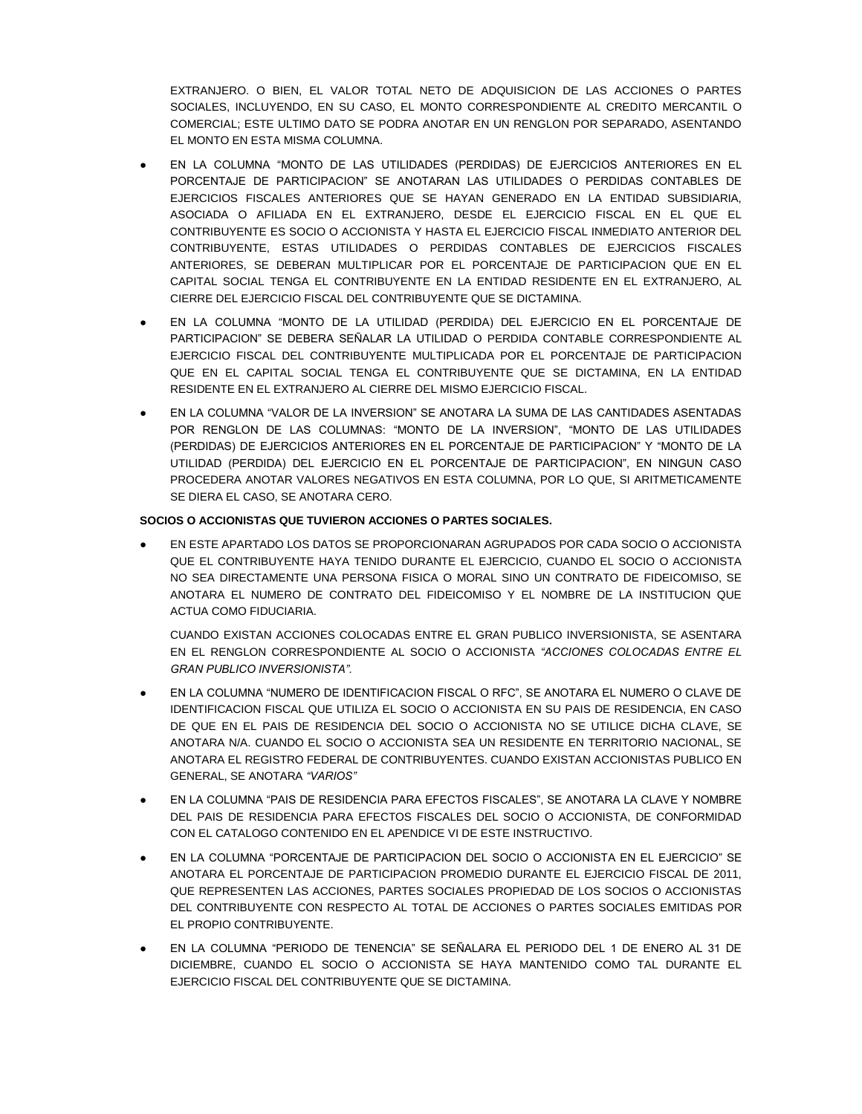EXTRANJERO. O BIEN, EL VALOR TOTAL NETO DE ADQUISICION DE LAS ACCIONES O PARTES SOCIALES, INCLUYENDO, EN SU CASO, EL MONTO CORRESPONDIENTE AL CREDITO MERCANTIL O COMERCIAL; ESTE ULTIMO DATO SE PODRA ANOTAR EN UN RENGLON POR SEPARADO, ASENTANDO EL MONTO EN ESTA MISMA COLUMNA.

- EN LA COLUMNA "MONTO DE LAS UTILIDADES (PERDIDAS) DE EJERCICIOS ANTERIORES EN EL PORCENTAJE DE PARTICIPACION" SE ANOTARAN LAS UTILIDADES O PERDIDAS CONTABLES DE EJERCICIOS FISCALES ANTERIORES QUE SE HAYAN GENERADO EN LA ENTIDAD SUBSIDIARIA, ASOCIADA O AFILIADA EN EL EXTRANJERO, DESDE EL EJERCICIO FISCAL EN EL QUE EL CONTRIBUYENTE ES SOCIO O ACCIONISTA Y HASTA EL EJERCICIO FISCAL INMEDIATO ANTERIOR DEL CONTRIBUYENTE, ESTAS UTILIDADES O PERDIDAS CONTABLES DE EJERCICIOS FISCALES ANTERIORES, SE DEBERAN MULTIPLICAR POR EL PORCENTAJE DE PARTICIPACION QUE EN EL CAPITAL SOCIAL TENGA EL CONTRIBUYENTE EN LA ENTIDAD RESIDENTE EN EL EXTRANJERO, AL CIERRE DEL EJERCICIO FISCAL DEL CONTRIBUYENTE QUE SE DICTAMINA.
- EN LA COLUMNA "MONTO DE LA UTILIDAD (PERDIDA) DEL EJERCICIO EN EL PORCENTAJE DE PARTICIPACION" SE DEBERA SEÑALAR LA UTILIDAD O PERDIDA CONTABLE CORRESPONDIENTE AL EJERCICIO FISCAL DEL CONTRIBUYENTE MULTIPLICADA POR EL PORCENTAJE DE PARTICIPACION QUE EN EL CAPITAL SOCIAL TENGA EL CONTRIBUYENTE QUE SE DICTAMINA, EN LA ENTIDAD RESIDENTE EN EL EXTRANJERO AL CIERRE DEL MISMO EJERCICIO FISCAL.
- EN LA COLUMNA "VALOR DE LA INVERSION" SE ANOTARA LA SUMA DE LAS CANTIDADES ASENTADAS POR RENGLON DE LAS COLUMNAS: "MONTO DE LA INVERSION", "MONTO DE LAS UTILIDADES (PERDIDAS) DE EJERCICIOS ANTERIORES EN EL PORCENTAJE DE PARTICIPACION" Y "MONTO DE LA UTILIDAD (PERDIDA) DEL EJERCICIO EN EL PORCENTAJE DE PARTICIPACION", EN NINGUN CASO PROCEDERA ANOTAR VALORES NEGATIVOS EN ESTA COLUMNA, POR LO QUE, SI ARITMETICAMENTE SE DIERA EL CASO, SE ANOTARA CERO.

## **SOCIOS O ACCIONISTAS QUE TUVIERON ACCIONES O PARTES SOCIALES.**

● EN ESTE APARTADO LOS DATOS SE PROPORCIONARAN AGRUPADOS POR CADA SOCIO O ACCIONISTA QUE EL CONTRIBUYENTE HAYA TENIDO DURANTE EL EJERCICIO, CUANDO EL SOCIO O ACCIONISTA NO SEA DIRECTAMENTE UNA PERSONA FISICA O MORAL SINO UN CONTRATO DE FIDEICOMISO, SE ANOTARA EL NUMERO DE CONTRATO DEL FIDEICOMISO Y EL NOMBRE DE LA INSTITUCION QUE ACTUA COMO FIDUCIARIA.

CUANDO EXISTAN ACCIONES COLOCADAS ENTRE EL GRAN PUBLICO INVERSIONISTA, SE ASENTARA EN EL RENGLON CORRESPONDIENTE AL SOCIO O ACCIONISTA *"ACCIONES COLOCADAS ENTRE EL GRAN PUBLICO INVERSIONISTA".*

- EN LA COLUMNA "NUMERO DE IDENTIFICACION FISCAL O RFC", SE ANOTARA EL NUMERO O CLAVE DE IDENTIFICACION FISCAL QUE UTILIZA EL SOCIO O ACCIONISTA EN SU PAIS DE RESIDENCIA, EN CASO DE QUE EN EL PAIS DE RESIDENCIA DEL SOCIO O ACCIONISTA NO SE UTILICE DICHA CLAVE, SE ANOTARA N/A. CUANDO EL SOCIO O ACCIONISTA SEA UN RESIDENTE EN TERRITORIO NACIONAL, SE ANOTARA EL REGISTRO FEDERAL DE CONTRIBUYENTES. CUANDO EXISTAN ACCIONISTAS PUBLICO EN GENERAL, SE ANOTARA *"VARIOS"*
- EN LA COLUMNA "PAIS DE RESIDENCIA PARA EFECTOS FISCALES", SE ANOTARA LA CLAVE Y NOMBRE DEL PAIS DE RESIDENCIA PARA EFECTOS FISCALES DEL SOCIO O ACCIONISTA, DE CONFORMIDAD CON EL CATALOGO CONTENIDO EN EL APENDICE VI DE ESTE INSTRUCTIVO.
- EN LA COLUMNA "PORCENTAJE DE PARTICIPACION DEL SOCIO O ACCIONISTA EN EL EJERCICIO" SE ANOTARA EL PORCENTAJE DE PARTICIPACION PROMEDIO DURANTE EL EJERCICIO FISCAL DE 2011, QUE REPRESENTEN LAS ACCIONES, PARTES SOCIALES PROPIEDAD DE LOS SOCIOS O ACCIONISTAS DEL CONTRIBUYENTE CON RESPECTO AL TOTAL DE ACCIONES O PARTES SOCIALES EMITIDAS POR EL PROPIO CONTRIBUYENTE.
- EN LA COLUMNA "PERIODO DE TENENCIA" SE SEÑALARA EL PERIODO DEL 1 DE ENERO AL 31 DE DICIEMBRE, CUANDO EL SOCIO O ACCIONISTA SE HAYA MANTENIDO COMO TAL DURANTE EL EJERCICIO FISCAL DEL CONTRIBUYENTE QUE SE DICTAMINA.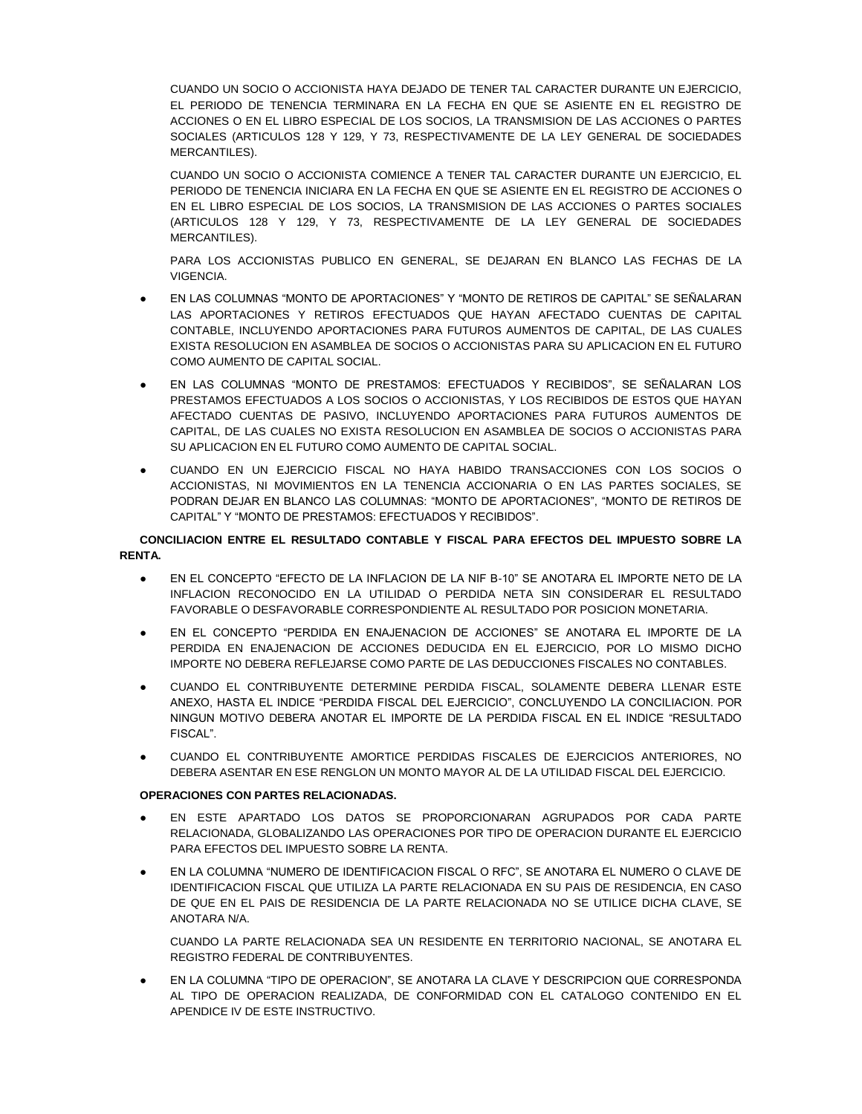CUANDO UN SOCIO O ACCIONISTA HAYA DEJADO DE TENER TAL CARACTER DURANTE UN EJERCICIO, EL PERIODO DE TENENCIA TERMINARA EN LA FECHA EN QUE SE ASIENTE EN EL REGISTRO DE ACCIONES O EN EL LIBRO ESPECIAL DE LOS SOCIOS, LA TRANSMISION DE LAS ACCIONES O PARTES SOCIALES (ARTICULOS 128 Y 129, Y 73, RESPECTIVAMENTE DE LA LEY GENERAL DE SOCIEDADES **MERCANTILES**).

CUANDO UN SOCIO O ACCIONISTA COMIENCE A TENER TAL CARACTER DURANTE UN EJERCICIO, EL PERIODO DE TENENCIA INICIARA EN LA FECHA EN QUE SE ASIENTE EN EL REGISTRO DE ACCIONES O EN EL LIBRO ESPECIAL DE LOS SOCIOS, LA TRANSMISION DE LAS ACCIONES O PARTES SOCIALES (ARTICULOS 128 Y 129, Y 73, RESPECTIVAMENTE DE LA LEY GENERAL DE SOCIEDADES MERCANTILES).

PARA LOS ACCIONISTAS PUBLICO EN GENERAL, SE DEJARAN EN BLANCO LAS FECHAS DE LA VIGENCIA.

- EN LAS COLUMNAS "MONTO DE APORTACIONES" Y "MONTO DE RETIROS DE CAPITAL" SE SEÑALARAN LAS APORTACIONES Y RETIROS EFECTUADOS QUE HAYAN AFECTADO CUENTAS DE CAPITAL CONTABLE, INCLUYENDO APORTACIONES PARA FUTUROS AUMENTOS DE CAPITAL, DE LAS CUALES EXISTA RESOLUCION EN ASAMBLEA DE SOCIOS O ACCIONISTAS PARA SU APLICACION EN EL FUTURO COMO AUMENTO DE CAPITAL SOCIAL.
- EN LAS COLUMNAS "MONTO DE PRESTAMOS: EFECTUADOS Y RECIBIDOS", SE SEÑALARAN LOS PRESTAMOS EFECTUADOS A LOS SOCIOS O ACCIONISTAS, Y LOS RECIBIDOS DE ESTOS QUE HAYAN AFECTADO CUENTAS DE PASIVO, INCLUYENDO APORTACIONES PARA FUTUROS AUMENTOS DE CAPITAL, DE LAS CUALES NO EXISTA RESOLUCION EN ASAMBLEA DE SOCIOS O ACCIONISTAS PARA SU APLICACION EN EL FUTURO COMO AUMENTO DE CAPITAL SOCIAL.
- CUANDO EN UN EJERCICIO FISCAL NO HAYA HABIDO TRANSACCIONES CON LOS SOCIOS O ACCIONISTAS, NI MOVIMIENTOS EN LA TENENCIA ACCIONARIA O EN LAS PARTES SOCIALES, SE PODRAN DEJAR EN BLANCO LAS COLUMNAS: "MONTO DE APORTACIONES", "MONTO DE RETIROS DE CAPITAL" Y "MONTO DE PRESTAMOS: EFECTUADOS Y RECIBIDOS".

## **CONCILIACION ENTRE EL RESULTADO CONTABLE Y FISCAL PARA EFECTOS DEL IMPUESTO SOBRE LA RENTA.**

- EN EL CONCEPTO "EFECTO DE LA INFLACION DE LA NIF B-10" SE ANOTARA EL IMPORTE NETO DE LA INFLACION RECONOCIDO EN LA UTILIDAD O PERDIDA NETA SIN CONSIDERAR EL RESULTADO FAVORABLE O DESFAVORABLE CORRESPONDIENTE AL RESULTADO POR POSICION MONETARIA.
- EN EL CONCEPTO "PERDIDA EN ENAJENACION DE ACCIONES" SE ANOTARA EL IMPORTE DE LA PERDIDA EN ENAJENACION DE ACCIONES DEDUCIDA EN EL EJERCICIO, POR LO MISMO DICHO IMPORTE NO DEBERA REFLEJARSE COMO PARTE DE LAS DEDUCCIONES FISCALES NO CONTABLES.
- CUANDO EL CONTRIBUYENTE DETERMINE PERDIDA FISCAL, SOLAMENTE DEBERA LLENAR ESTE ANEXO, HASTA EL INDICE "PERDIDA FISCAL DEL EJERCICIO", CONCLUYENDO LA CONCILIACION. POR NINGUN MOTIVO DEBERA ANOTAR EL IMPORTE DE LA PERDIDA FISCAL EN EL INDICE "RESULTADO FISCAL".
- CUANDO EL CONTRIBUYENTE AMORTICE PERDIDAS FISCALES DE EJERCICIOS ANTERIORES, NO DEBERA ASENTAR EN ESE RENGLON UN MONTO MAYOR AL DE LA UTILIDAD FISCAL DEL EJERCICIO.

# **OPERACIONES CON PARTES RELACIONADAS.**

- EN ESTE APARTADO LOS DATOS SE PROPORCIONARAN AGRUPADOS POR CADA PARTE RELACIONADA, GLOBALIZANDO LAS OPERACIONES POR TIPO DE OPERACION DURANTE EL EJERCICIO PARA EFECTOS DEL IMPUESTO SOBRE LA RENTA.
- EN LA COLUMNA "NUMERO DE IDENTIFICACION FISCAL O RFC", SE ANOTARA EL NUMERO O CLAVE DE IDENTIFICACION FISCAL QUE UTILIZA LA PARTE RELACIONADA EN SU PAIS DE RESIDENCIA, EN CASO DE QUE EN EL PAIS DE RESIDENCIA DE LA PARTE RELACIONADA NO SE UTILICE DICHA CLAVE, SE ANOTARA N/A.

CUANDO LA PARTE RELACIONADA SEA UN RESIDENTE EN TERRITORIO NACIONAL, SE ANOTARA EL REGISTRO FEDERAL DE CONTRIBUYENTES.

EN LA COLUMNA "TIPO DE OPERACION", SE ANOTARA LA CLAVE Y DESCRIPCION QUE CORRESPONDA AL TIPO DE OPERACION REALIZADA, DE CONFORMIDAD CON EL CATALOGO CONTENIDO EN EL APENDICE IV DE ESTE INSTRUCTIVO.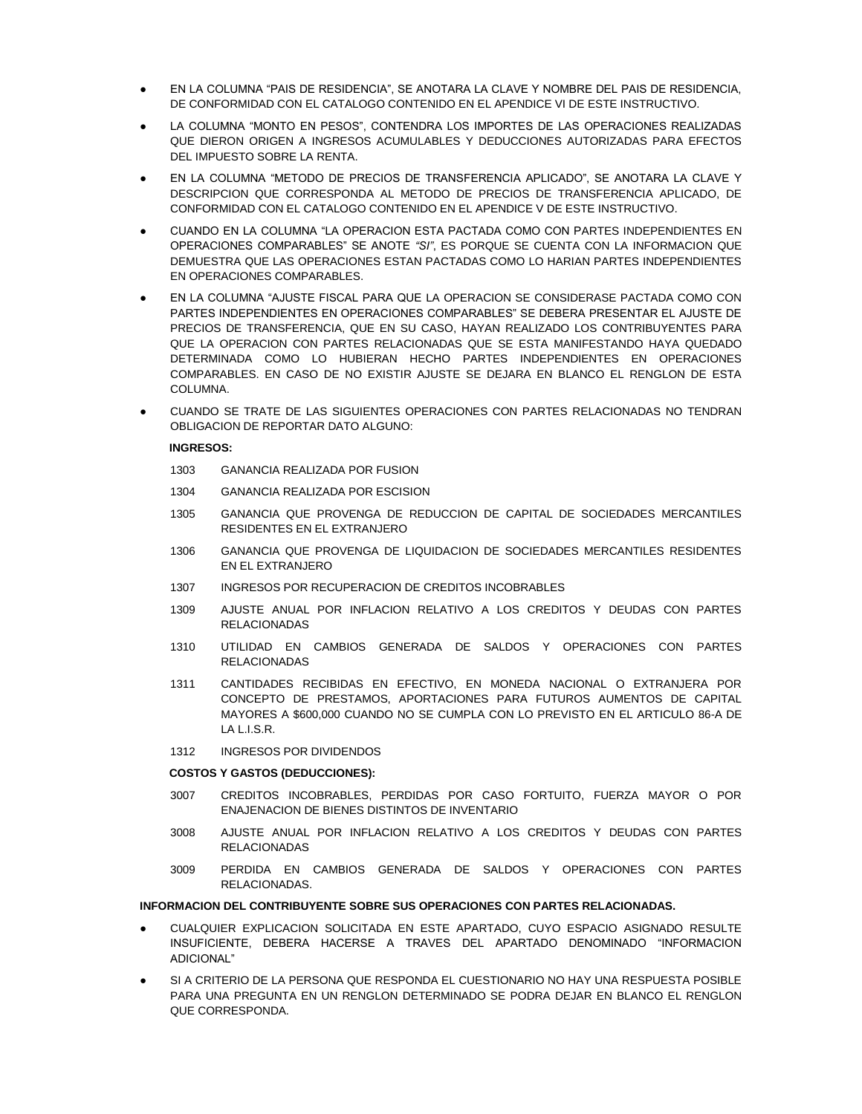- EN LA COLUMNA "PAIS DE RESIDENCIA", SE ANOTARA LA CLAVE Y NOMBRE DEL PAIS DE RESIDENCIA, DE CONFORMIDAD CON EL CATALOGO CONTENIDO EN EL APENDICE VI DE ESTE INSTRUCTIVO.
- LA COLUMNA "MONTO EN PESOS", CONTENDRA LOS IMPORTES DE LAS OPERACIONES REALIZADAS QUE DIERON ORIGEN A INGRESOS ACUMULABLES Y DEDUCCIONES AUTORIZADAS PARA EFECTOS DEL IMPUESTO SOBRE LA RENTA.
- EN LA COLUMNA "METODO DE PRECIOS DE TRANSFERENCIA APLICADO", SE ANOTARA LA CLAVE Y DESCRIPCION QUE CORRESPONDA AL METODO DE PRECIOS DE TRANSFERENCIA APLICADO, DE CONFORMIDAD CON EL CATALOGO CONTENIDO EN EL APENDICE V DE ESTE INSTRUCTIVO.
- CUANDO EN LA COLUMNA "LA OPERACION ESTA PACTADA COMO CON PARTES INDEPENDIENTES EN OPERACIONES COMPARABLES" SE ANOTE *"SI"*, ES PORQUE SE CUENTA CON LA INFORMACION QUE DEMUESTRA QUE LAS OPERACIONES ESTAN PACTADAS COMO LO HARIAN PARTES INDEPENDIENTES EN OPERACIONES COMPARABLES.
- EN LA COLUMNA "AJUSTE FISCAL PARA QUE LA OPERACION SE CONSIDERASE PACTADA COMO CON PARTES INDEPENDIENTES EN OPERACIONES COMPARABLES" SE DEBERA PRESENTAR EL AJUSTE DE PRECIOS DE TRANSFERENCIA, QUE EN SU CASO, HAYAN REALIZADO LOS CONTRIBUYENTES PARA QUE LA OPERACION CON PARTES RELACIONADAS QUE SE ESTA MANIFESTANDO HAYA QUEDADO DETERMINADA COMO LO HUBIERAN HECHO PARTES INDEPENDIENTES EN OPERACIONES COMPARABLES. EN CASO DE NO EXISTIR AJUSTE SE DEJARA EN BLANCO EL RENGLON DE ESTA COLUMNA.
- CUANDO SE TRATE DE LAS SIGUIENTES OPERACIONES CON PARTES RELACIONADAS NO TENDRAN OBLIGACION DE REPORTAR DATO ALGUNO:

### **INGRESOS:**

- 1303 GANANCIA REALIZADA POR FUSION
- 1304 GANANCIA REALIZADA POR ESCISION
- 1305 GANANCIA QUE PROVENGA DE REDUCCION DE CAPITAL DE SOCIEDADES MERCANTILES RESIDENTES EN EL EXTRANJERO
- 1306 GANANCIA QUE PROVENGA DE LIQUIDACION DE SOCIEDADES MERCANTILES RESIDENTES EN EL EXTRANJERO
- 1307 INGRESOS POR RECUPERACION DE CREDITOS INCOBRABLES
- 1309 AJUSTE ANUAL POR INFLACION RELATIVO A LOS CREDITOS Y DEUDAS CON PARTES RELACIONADAS
- 1310 UTILIDAD EN CAMBIOS GENERADA DE SALDOS Y OPERACIONES CON PARTES RELACIONADAS
- 1311 CANTIDADES RECIBIDAS EN EFECTIVO, EN MONEDA NACIONAL O EXTRANJERA POR CONCEPTO DE PRESTAMOS, APORTACIONES PARA FUTUROS AUMENTOS DE CAPITAL MAYORES A \$600,000 CUANDO NO SE CUMPLA CON LO PREVISTO EN EL ARTICULO 86-A DE  $IAIISR$
- 1312 INGRESOS POR DIVIDENDOS

### **COSTOS Y GASTOS (DEDUCCIONES):**

- 3007 CREDITOS INCOBRABLES, PERDIDAS POR CASO FORTUITO, FUERZA MAYOR O POR ENAJENACION DE BIENES DISTINTOS DE INVENTARIO
- 3008 AJUSTE ANUAL POR INFLACION RELATIVO A LOS CREDITOS Y DEUDAS CON PARTES RELACIONADAS
- 3009 PERDIDA EN CAMBIOS GENERADA DE SALDOS Y OPERACIONES CON PARTES RELACIONADAS.

#### **INFORMACION DEL CONTRIBUYENTE SOBRE SUS OPERACIONES CON PARTES RELACIONADAS.**

- CUALQUIER EXPLICACION SOLICITADA EN ESTE APARTADO, CUYO ESPACIO ASIGNADO RESULTE INSUFICIENTE, DEBERA HACERSE A TRAVES DEL APARTADO DENOMINADO "INFORMACION ADICIONAL"
- SI A CRITERIO DE LA PERSONA QUE RESPONDA EL CUESTIONARIO NO HAY UNA RESPUESTA POSIBLE PARA UNA PREGUNTA EN UN RENGLON DETERMINADO SE PODRA DEJAR EN BLANCO EL RENGLON QUE CORRESPONDA.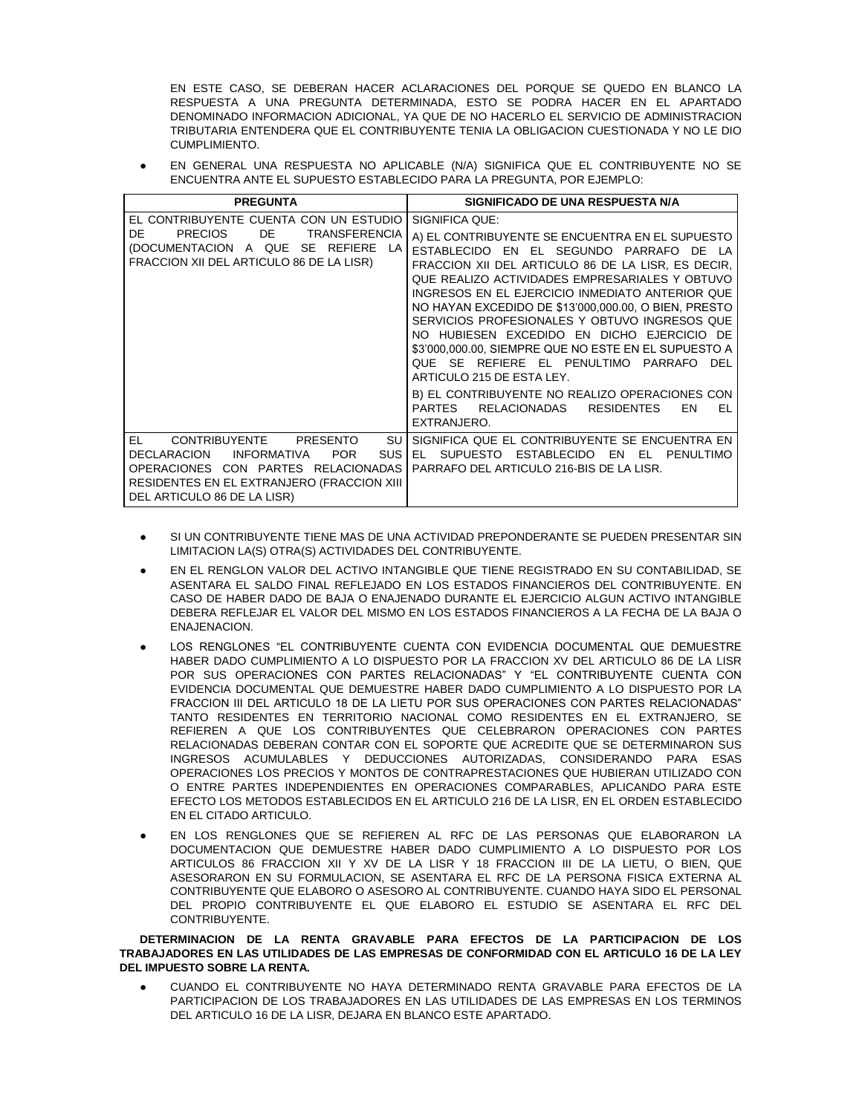EN ESTE CASO, SE DEBERAN HACER ACLARACIONES DEL PORQUE SE QUEDO EN BLANCO LA RESPUESTA A UNA PREGUNTA DETERMINADA, ESTO SE PODRA HACER EN EL APARTADO DENOMINADO INFORMACION ADICIONAL, YA QUE DE NO HACERLO EL SERVICIO DE ADMINISTRACION TRIBUTARIA ENTENDERA QUE EL CONTRIBUYENTE TENIA LA OBLIGACION CUESTIONADA Y NO LE DIO CUMPLIMIENTO.

EN GENERAL UNA RESPUESTA NO APLICABLE (N/A) SIGNIFICA QUE EL CONTRIBUYENTE NO SE ENCUENTRA ANTE EL SUPUESTO ESTABLECIDO PARA LA PREGUNTA, POR EJEMPLO:

| <b>PREGUNTA</b>                                                                                                                                                                                                                  | SIGNIFICADO DE UNA RESPUESTA N/A                                                                                                                                                                                                                                                                                                                                                                                                                                                                                                                                                                                                                                                    |
|----------------------------------------------------------------------------------------------------------------------------------------------------------------------------------------------------------------------------------|-------------------------------------------------------------------------------------------------------------------------------------------------------------------------------------------------------------------------------------------------------------------------------------------------------------------------------------------------------------------------------------------------------------------------------------------------------------------------------------------------------------------------------------------------------------------------------------------------------------------------------------------------------------------------------------|
| EL CONTRIBUYENTE CUENTA CON UN ESTUDIO<br><b>PRECIOS</b><br>DE.<br><b>TRANSFERENCIA</b><br>DE<br>(DOCUMENTACION A QUE SE REFIERE LA<br>FRACCION XII DEL ARTICULO 86 DE LA LISR)                                                  | SIGNIFICA QUE:<br>A) EL CONTRIBUYENTE SE ENCUENTRA EN EL SUPUESTO<br>ESTABLECIDO EN EL SEGUNDO PARRAFO DE LA<br>FRACCION XII DEL ARTICULO 86 DE LA LISR, ES DECIR,<br>QUE REALIZO ACTIVIDADES EMPRESARIALES Y OBTUVO<br>INGRESOS EN EL EJERCICIO INMEDIATO ANTERIOR QUE<br>NO HAYAN EXCEDIDO DE \$13'000,000.00, O BIEN, PRESTO<br>SERVICIOS PROFESIONALES Y OBTUVO INGRESOS QUE<br>NO HUBIESEN EXCEDIDO EN DICHO EJERCICIO DE<br>\$3'000,000.00, SIEMPRE QUE NO ESTE EN EL SUPUESTO A<br>QUE SE REFIERE EL PENULTIMO PARRAFO<br>DEL<br>ARTICULO 215 DE ESTA LEY.<br>B) EL CONTRIBUYENTE NO REALIZO OPERACIONES CON<br>PARTES RELACIONADAS<br>RESIDENTES<br>EN<br>EL<br>EXTRANJERO. |
| EL.<br>CONTRIBUYENTE<br>PRESENTO<br>SU.<br>SUS I<br><b>INFORMATIVA</b><br><b>POR</b><br><b>DECLARACION</b><br>OPERACIONES CON PARTES RELACIONADAS I<br>RESIDENTES EN EL EXTRANJERO (FRACCION XIII<br>DEL ARTICULO 86 DE LA LISR) | SIGNIFICA QUE EL CONTRIBUYENTE SE ENCUENTRA EN<br>EL SUPUESTO ESTABLECIDO<br>EN<br>EL.<br><b>PENULTIMO</b><br>PARRAFO DEL ARTICULO 216-BIS DE LA LISR.                                                                                                                                                                                                                                                                                                                                                                                                                                                                                                                              |

- SI UN CONTRIBUYENTE TIENE MAS DE UNA ACTIVIDAD PREPONDERANTE SE PUEDEN PRESENTAR SIN LIMITACION LA(S) OTRA(S) ACTIVIDADES DEL CONTRIBUYENTE.
- EN EL RENGLON VALOR DEL ACTIVO INTANGIBLE QUE TIENE REGISTRADO EN SU CONTABILIDAD, SE ASENTARA EL SALDO FINAL REFLEJADO EN LOS ESTADOS FINANCIEROS DEL CONTRIBUYENTE. EN CASO DE HABER DADO DE BAJA O ENAJENADO DURANTE EL EJERCICIO ALGUN ACTIVO INTANGIBLE DEBERA REFLEJAR EL VALOR DEL MISMO EN LOS ESTADOS FINANCIEROS A LA FECHA DE LA BAJA O ENAJENACION.
- LOS RENGLONES "EL CONTRIBUYENTE CUENTA CON EVIDENCIA DOCUMENTAL QUE DEMUESTRE HABER DADO CUMPLIMIENTO A LO DISPUESTO POR LA FRACCION XV DEL ARTICULO 86 DE LA LISR POR SUS OPERACIONES CON PARTES RELACIONADAS" Y "EL CONTRIBUYENTE CUENTA CON EVIDENCIA DOCUMENTAL QUE DEMUESTRE HABER DADO CUMPLIMIENTO A LO DISPUESTO POR LA FRACCION III DEL ARTICULO 18 DE LA LIETU POR SUS OPERACIONES CON PARTES RELACIONADAS" TANTO RESIDENTES EN TERRITORIO NACIONAL COMO RESIDENTES EN EL EXTRANJERO, SE REFIEREN A QUE LOS CONTRIBUYENTES QUE CELEBRARON OPERACIONES CON PARTES RELACIONADAS DEBERAN CONTAR CON EL SOPORTE QUE ACREDITE QUE SE DETERMINARON SUS INGRESOS ACUMULABLES Y DEDUCCIONES AUTORIZADAS, CONSIDERANDO PARA ESAS OPERACIONES LOS PRECIOS Y MONTOS DE CONTRAPRESTACIONES QUE HUBIERAN UTILIZADO CON O ENTRE PARTES INDEPENDIENTES EN OPERACIONES COMPARABLES, APLICANDO PARA ESTE EFECTO LOS METODOS ESTABLECIDOS EN EL ARTICULO 216 DE LA LISR, EN EL ORDEN ESTABLECIDO EN EL CITADO ARTICULO.
- EN LOS RENGLONES QUE SE REFIEREN AL RFC DE LAS PERSONAS QUE ELABORARON LA DOCUMENTACION QUE DEMUESTRE HABER DADO CUMPLIMIENTO A LO DISPUESTO POR LOS ARTICULOS 86 FRACCION XII Y XV DE LA LISR Y 18 FRACCION III DE LA LIETU, O BIEN, QUE ASESORARON EN SU FORMULACION, SE ASENTARA EL RFC DE LA PERSONA FISICA EXTERNA AL CONTRIBUYENTE QUE ELABORO O ASESORO AL CONTRIBUYENTE. CUANDO HAYA SIDO EL PERSONAL DEL PROPIO CONTRIBUYENTE EL QUE ELABORO EL ESTUDIO SE ASENTARA EL RFC DEL CONTRIBUYENTE.

**DETERMINACION DE LA RENTA GRAVABLE PARA EFECTOS DE LA PARTICIPACION DE LOS TRABAJADORES EN LAS UTILIDADES DE LAS EMPRESAS DE CONFORMIDAD CON EL ARTICULO 16 DE LA LEY DEL IMPUESTO SOBRE LA RENTA.**

CUANDO EL CONTRIBUYENTE NO HAYA DETERMINADO RENTA GRAVABLE PARA EFECTOS DE LA PARTICIPACION DE LOS TRABAJADORES EN LAS UTILIDADES DE LAS EMPRESAS EN LOS TERMINOS DEL ARTICULO 16 DE LA LISR, DEJARA EN BLANCO ESTE APARTADO.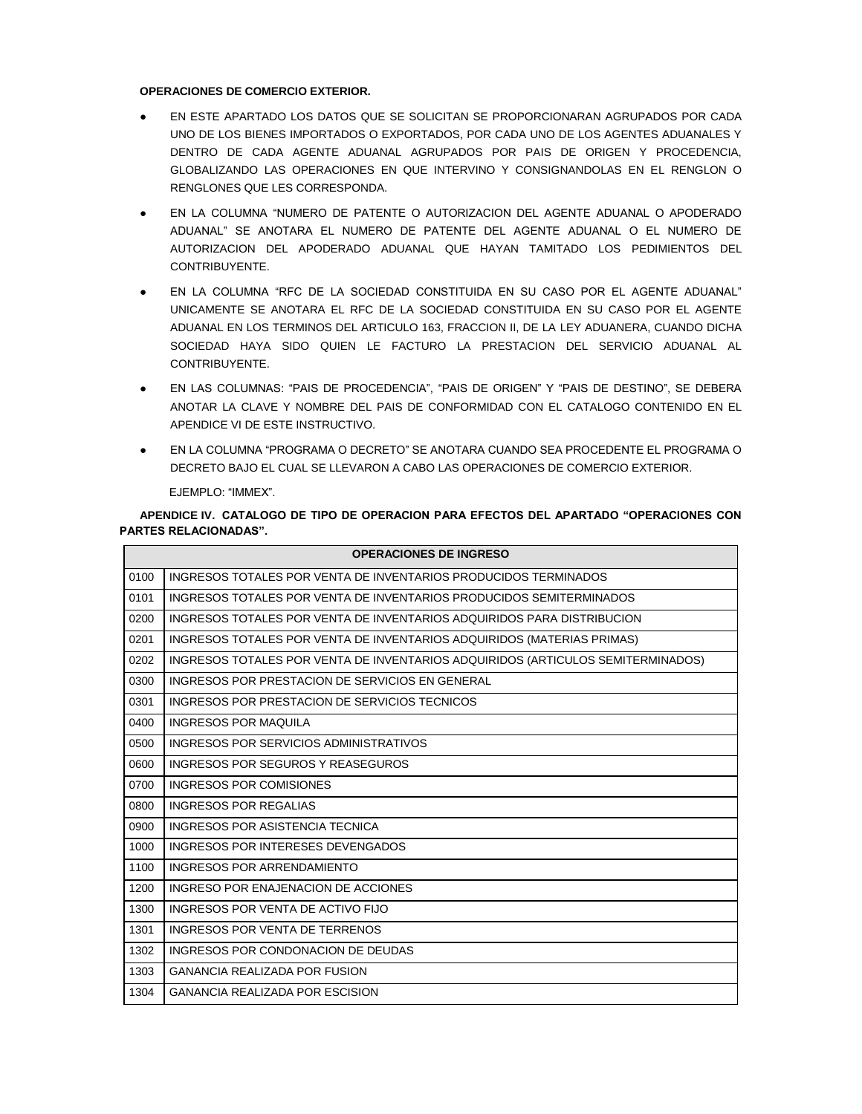## **OPERACIONES DE COMERCIO EXTERIOR.**

- EN ESTE APARTADO LOS DATOS QUE SE SOLICITAN SE PROPORCIONARAN AGRUPADOS POR CADA UNO DE LOS BIENES IMPORTADOS O EXPORTADOS, POR CADA UNO DE LOS AGENTES ADUANALES Y DENTRO DE CADA AGENTE ADUANAL AGRUPADOS POR PAIS DE ORIGEN Y PROCEDENCIA, GLOBALIZANDO LAS OPERACIONES EN QUE INTERVINO Y CONSIGNANDOLAS EN EL RENGLON O RENGLONES QUE LES CORRESPONDA.
- EN LA COLUMNA "NUMERO DE PATENTE O AUTORIZACION DEL AGENTE ADUANAL O APODERADO ADUANAL" SE ANOTARA EL NUMERO DE PATENTE DEL AGENTE ADUANAL O EL NUMERO DE AUTORIZACION DEL APODERADO ADUANAL QUE HAYAN TAMITADO LOS PEDIMIENTOS DEL CONTRIBUYENTE.
- EN LA COLUMNA "RFC DE LA SOCIEDAD CONSTITUIDA EN SU CASO POR EL AGENTE ADUANAL" UNICAMENTE SE ANOTARA EL RFC DE LA SOCIEDAD CONSTITUIDA EN SU CASO POR EL AGENTE ADUANAL EN LOS TERMINOS DEL ARTICULO 163, FRACCION II, DE LA LEY ADUANERA, CUANDO DICHA SOCIEDAD HAYA SIDO QUIEN LE FACTURO LA PRESTACION DEL SERVICIO ADUANAL AL CONTRIBUYENTE.
- EN LAS COLUMNAS: "PAIS DE PROCEDENCIA", "PAIS DE ORIGEN" Y "PAIS DE DESTINO", SE DEBERA ANOTAR LA CLAVE Y NOMBRE DEL PAIS DE CONFORMIDAD CON EL CATALOGO CONTENIDO EN EL APENDICE VI DE ESTE INSTRUCTIVO.
- EN LA COLUMNA "PROGRAMA O DECRETO" SE ANOTARA CUANDO SEA PROCEDENTE EL PROGRAMA O DECRETO BAJO EL CUAL SE LLEVARON A CABO LAS OPERACIONES DE COMERCIO EXTERIOR.

EJEMPLO: "IMMEX".

**APENDICE IV. CATALOGO DE TIPO DE OPERACION PARA EFECTOS DEL APARTADO "OPERACIONES CON PARTES RELACIONADAS".**

|      | <b>OPERACIONES DE INGRESO</b>                                                   |  |  |
|------|---------------------------------------------------------------------------------|--|--|
| 0100 | INGRESOS TOTALES POR VENTA DE INVENTARIOS PRODUCIDOS TERMINADOS                 |  |  |
| 0101 | INGRESOS TOTALES POR VENTA DE INVENTARIOS PRODUCIDOS SEMITERMINADOS             |  |  |
| 0200 | INGRESOS TOTALES POR VENTA DE INVENTARIOS ADQUIRIDOS PARA DISTRIBUCION          |  |  |
| 0201 | INGRESOS TOTALES POR VENTA DE INVENTARIOS ADQUIRIDOS (MATERIAS PRIMAS)          |  |  |
| 0202 | INGRESOS TOTALES POR VENTA DE INVENTARIOS ADQUIRIDOS (ARTICULOS SEMITERMINADOS) |  |  |
| 0300 | INGRESOS POR PRESTACION DE SERVICIOS EN GENERAL                                 |  |  |
| 0301 | INGRESOS POR PRESTACION DE SERVICIOS TECNICOS                                   |  |  |
| 0400 | INGRESOS POR MAQUILA                                                            |  |  |
| 0500 | INGRESOS POR SERVICIOS ADMINISTRATIVOS                                          |  |  |
| 0600 | INGRESOS POR SEGUROS Y REASEGUROS                                               |  |  |
| 0700 | INGRESOS POR COMISIONES                                                         |  |  |
| 0800 | INGRESOS POR REGALIAS                                                           |  |  |
| 0900 | INGRESOS POR ASISTENCIA TECNICA                                                 |  |  |
| 1000 | INGRESOS POR INTERESES DEVENGADOS                                               |  |  |
| 1100 | INGRESOS POR ARRENDAMIENTO                                                      |  |  |
| 1200 | INGRESO POR ENAJENACION DE ACCIONES                                             |  |  |
| 1300 | INGRESOS POR VENTA DE ACTIVO FIJO                                               |  |  |
| 1301 | INGRESOS POR VENTA DE TERRENOS                                                  |  |  |
| 1302 | INGRESOS POR CONDONACION DE DEUDAS                                              |  |  |
| 1303 | <b>GANANCIA REALIZADA POR FUSION</b>                                            |  |  |
| 1304 | <b>GANANCIA REALIZADA POR ESCISION</b>                                          |  |  |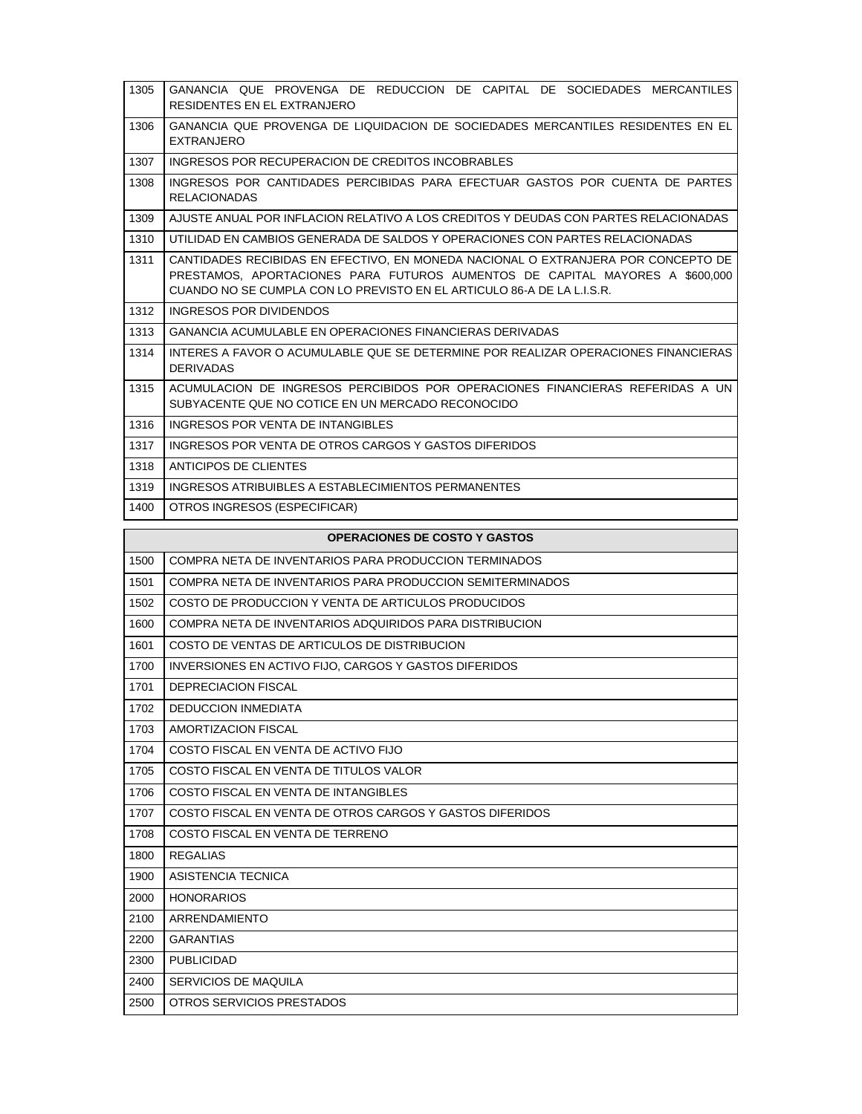| 1305 | GANANCIA QUE PROVENGA DE REDUCCION DE CAPITAL DE SOCIEDADES MERCANTILES<br>RESIDENTES EN EL EXTRANJERO                                                                                                                                      |
|------|---------------------------------------------------------------------------------------------------------------------------------------------------------------------------------------------------------------------------------------------|
| 1306 | GANANCIA QUE PROVENGA DE LIQUIDACION DE SOCIEDADES MERCANTILES RESIDENTES EN EL<br><b>EXTRANJERO</b>                                                                                                                                        |
| 1307 | INGRESOS POR RECUPERACION DE CREDITOS INCOBRABLES                                                                                                                                                                                           |
| 1308 | INGRESOS POR CANTIDADES PERCIBIDAS PARA EFECTUAR GASTOS POR CUENTA DE PARTES<br><b>RELACIONADAS</b>                                                                                                                                         |
| 1309 | AJUSTE ANUAL POR INFLACION RELATIVO A LOS CREDITOS Y DEUDAS CON PARTES RELACIONADAS                                                                                                                                                         |
| 1310 | UTILIDAD EN CAMBIOS GENERADA DE SALDOS Y OPERACIONES CON PARTES RELACIONADAS                                                                                                                                                                |
| 1311 | CANTIDADES RECIBIDAS EN EFECTIVO. EN MONEDA NACIONAL O EXTRANJERA POR CONCEPTO DE<br>PRESTAMOS, APORTACIONES PARA FUTUROS AUMENTOS DE CAPITAL MAYORES A \$600,000<br>CUANDO NO SE CUMPLA CON LO PREVISTO EN EL ARTICULO 86-A DE LA L.I.S.R. |
| 1312 | INGRESOS POR DIVIDENDOS                                                                                                                                                                                                                     |
| 1313 | <b>GANANCIA ACUMULABLE EN OPERACIONES FINANCIERAS DERIVADAS</b>                                                                                                                                                                             |
| 1314 | INTERES A FAVOR O ACUMULABLE QUE SE DETERMINE POR REALIZAR OPERACIONES FINANCIERAS<br><b>DERIVADAS</b>                                                                                                                                      |
| 1315 | ACUMULACION DE INGRESOS PERCIBIDOS POR OPERACIONES FINANCIERAS REFERIDAS A UN<br>SUBYACENTE QUE NO COTICE EN UN MERCADO RECONOCIDO                                                                                                          |
| 1316 | INGRESOS POR VENTA DE INTANGIBI ES                                                                                                                                                                                                          |
| 1317 | INGRESOS POR VENTA DE OTROS CARGOS Y GASTOS DIFERIDOS                                                                                                                                                                                       |
| 1318 | ANTICIPOS DE CLIENTES                                                                                                                                                                                                                       |
| 1319 | INGRESOS ATRIBUIBLES A ESTABLECIMIENTOS PERMANENTES                                                                                                                                                                                         |
| 1400 | OTROS INGRESOS (ESPECIFICAR)                                                                                                                                                                                                                |

|      | <b>OPERACIONES DE COSTO Y GASTOS</b>                         |
|------|--------------------------------------------------------------|
| 1500 | COMPRA NETA DE INVENTARIOS PARA PRODUCCION TERMINADOS        |
| 1501 | COMPRA NETA DE INVENTARIOS PARA PRODUCCION SEMITERMINADOS    |
| 1502 | COSTO DE PRODUCCION Y VENTA DE ARTICULOS PRODUCIDOS          |
| 1600 | COMPRA NETA DE INVENTARIOS ADQUIRIDOS PARA DISTRIBUCION      |
| 1601 | COSTO DE VENTAS DE ARTICULOS DE DISTRIBUCION                 |
| 1700 | <b>INVERSIONES EN ACTIVO FIJO, CARGOS Y GASTOS DIFERIDOS</b> |
| 1701 | DEPRECIACION FISCAL                                          |
| 1702 | <b>DEDUCCION INMEDIATA</b>                                   |
| 1703 | AMORTIZACION FISCAL                                          |
| 1704 | COSTO FISCAL EN VENTA DE ACTIVO FIJO                         |
| 1705 | COSTO FISCAL EN VENTA DE TITULOS VALOR                       |
| 1706 | COSTO FISCAL EN VENTA DE INTANGIBLES                         |
| 1707 | COSTO FISCAL EN VENTA DE OTROS CARGOS Y GASTOS DIFERIDOS     |
| 1708 | COSTO FISCAL EN VENTA DE TERRENO                             |
| 1800 | <b>REGALIAS</b>                                              |
| 1900 | ASISTENCIA TECNICA                                           |
| 2000 | <b>HONORARIOS</b>                                            |
| 2100 | ARRENDAMIENTO                                                |
| 2200 | <b>GARANTIAS</b>                                             |
| 2300 | <b>PUBLICIDAD</b>                                            |
| 2400 | <b>SERVICIOS DE MAQUILA</b>                                  |
| 2500 | OTROS SERVICIOS PRESTADOS                                    |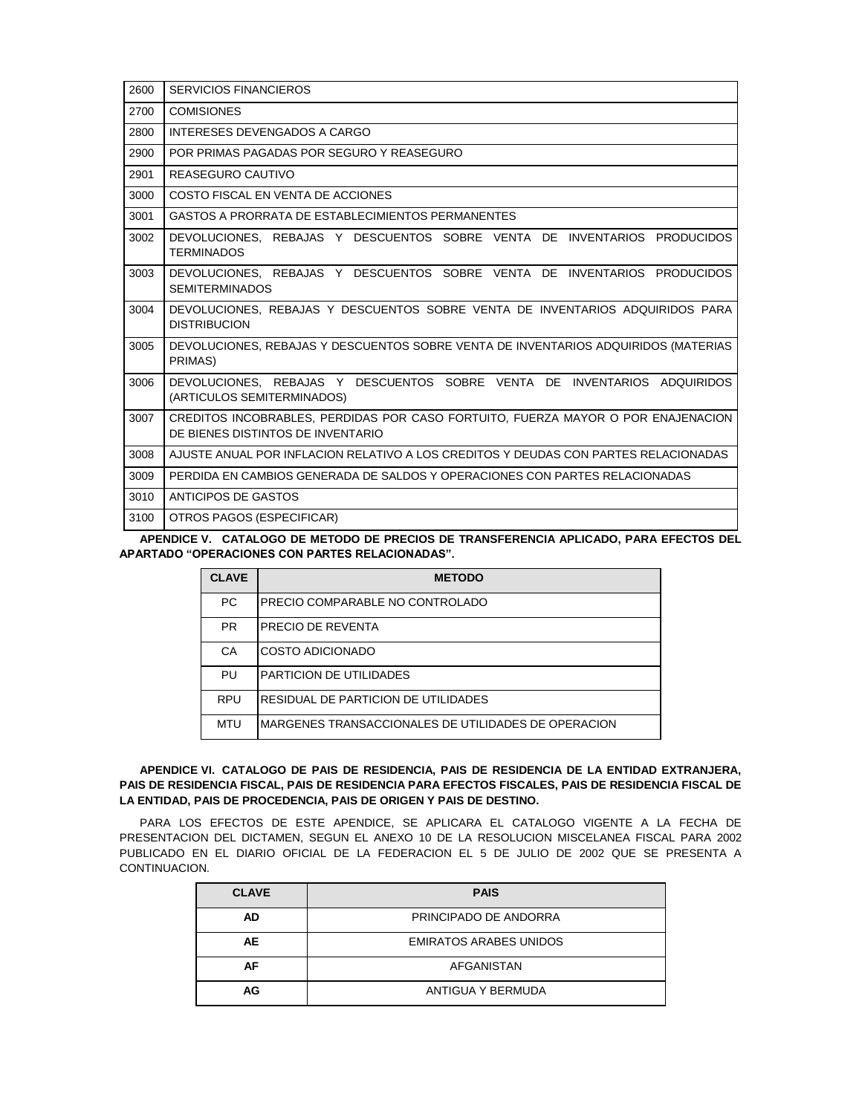| 2600 | <b>SERVICIOS FINANCIEROS</b>                                                                                          |
|------|-----------------------------------------------------------------------------------------------------------------------|
| 2700 | <b>COMISIONES</b>                                                                                                     |
| 2800 | INTERESES DEVENGADOS A CARGO                                                                                          |
| 2900 | POR PRIMAS PAGADAS POR SEGURO Y REASEGURO                                                                             |
| 2901 | REASEGURO CAUTIVO                                                                                                     |
| 3000 | COSTO FISCAL EN VENTA DE ACCIONES                                                                                     |
| 3001 | GASTOS A PRORRATA DE ESTABLECIMIENTOS PERMANENTES                                                                     |
| 3002 | DEVOLUCIONES, REBAJAS Y DESCUENTOS SOBRE VENTA DE INVENTARIOS PRODUCIDOS<br><b>TERMINADOS</b>                         |
| 3003 | DEVOLUCIONES. REBAJAS Y DESCUENTOS SOBRE VENTA DE INVENTARIOS PRODUCIDOS<br><b>SEMITERMINADOS</b>                     |
| 3004 | DEVOLUCIONES, REBAJAS Y DESCUENTOS SOBRE VENTA DE INVENTARIOS ADQUIRIDOS PARA<br><b>DISTRIBUCION</b>                  |
| 3005 | DEVOLUCIONES, REBAJAS Y DESCUENTOS SOBRE VENTA DE INVENTARIOS ADQUIRIDOS (MATERIAS<br>PRIMAS)                         |
| 3006 | DEVOLUCIONES. REBAJAS Y DESCUENTOS SOBRE VENTA DE INVENTARIOS ADQUIRIDOS<br>(ARTICULOS SEMITERMINADOS)                |
| 3007 | CREDITOS INCOBRABLES, PERDIDAS POR CASO FORTUITO, FUERZA MAYOR O POR ENAJENACION<br>DE BIENES DISTINTOS DE INVENTARIO |
| 3008 | AJUSTE ANUAL POR INFLACION RELATIVO A LOS CREDITOS Y DEUDAS CON PARTES RELACIONADAS                                   |
| 3009 | PERDIDA EN CAMBIOS GENERADA DE SALDOS Y OPERACIONES CON PARTES RELACIONADAS                                           |
| 3010 | ANTICIPOS DE GASTOS                                                                                                   |
| 3100 | OTROS PAGOS (ESPECIFICAR)                                                                                             |

**APENDICE V. CATALOGO DE METODO DE PRECIOS DE TRANSFERENCIA APLICADO, PARA EFECTOS DEL APARTADO "OPERACIONES CON PARTES RELACIONADAS".**

| <b>CLAVE</b> | <b>METODO</b>                                       |
|--------------|-----------------------------------------------------|
| <b>PC</b>    | PRECIO COMPARABLE NO CONTROLADO                     |
| <b>PR</b>    | PRECIO DE REVENTA                                   |
| CA           | <b>COSTO ADICIONADO</b>                             |
| PU           | PARTICION DE UTILIDADES                             |
| <b>RPU</b>   | RESIDUAL DE PARTICION DE UTILIDADES                 |
| MTU          | MARGENES TRANSACCIONALES DE UTILIDADES DE OPERACION |

## **APENDICE VI. CATALOGO DE PAIS DE RESIDENCIA, PAIS DE RESIDENCIA DE LA ENTIDAD EXTRANJERA, PAIS DE RESIDENCIA FISCAL, PAIS DE RESIDENCIA PARA EFECTOS FISCALES, PAIS DE RESIDENCIA FISCAL DE LA ENTIDAD, PAIS DE PROCEDENCIA, PAIS DE ORIGEN Y PAIS DE DESTINO.**

PARA LOS EFECTOS DE ESTE APENDICE, SE APLICARA EL CATALOGO VIGENTE A LA FECHA DE PRESENTACION DEL DICTAMEN, SEGUN EL ANEXO 10 DE LA RESOLUCION MISCELANEA FISCAL PARA 2002 PUBLICADO EN EL DIARIO OFICIAL DE LA FEDERACION EL 5 DE JULIO DE 2002 QUE SE PRESENTA A CONTINUACION.

| <b>CLAVE</b> | <b>PAIS</b>                   |  |
|--------------|-------------------------------|--|
| <b>AD</b>    | PRINCIPADO DE ANDORRA         |  |
| AE           | <b>EMIRATOS ARABES UNIDOS</b> |  |
| AF           | <b>AFGANISTAN</b>             |  |
| AG           | ANTIGUA Y BERMUDA             |  |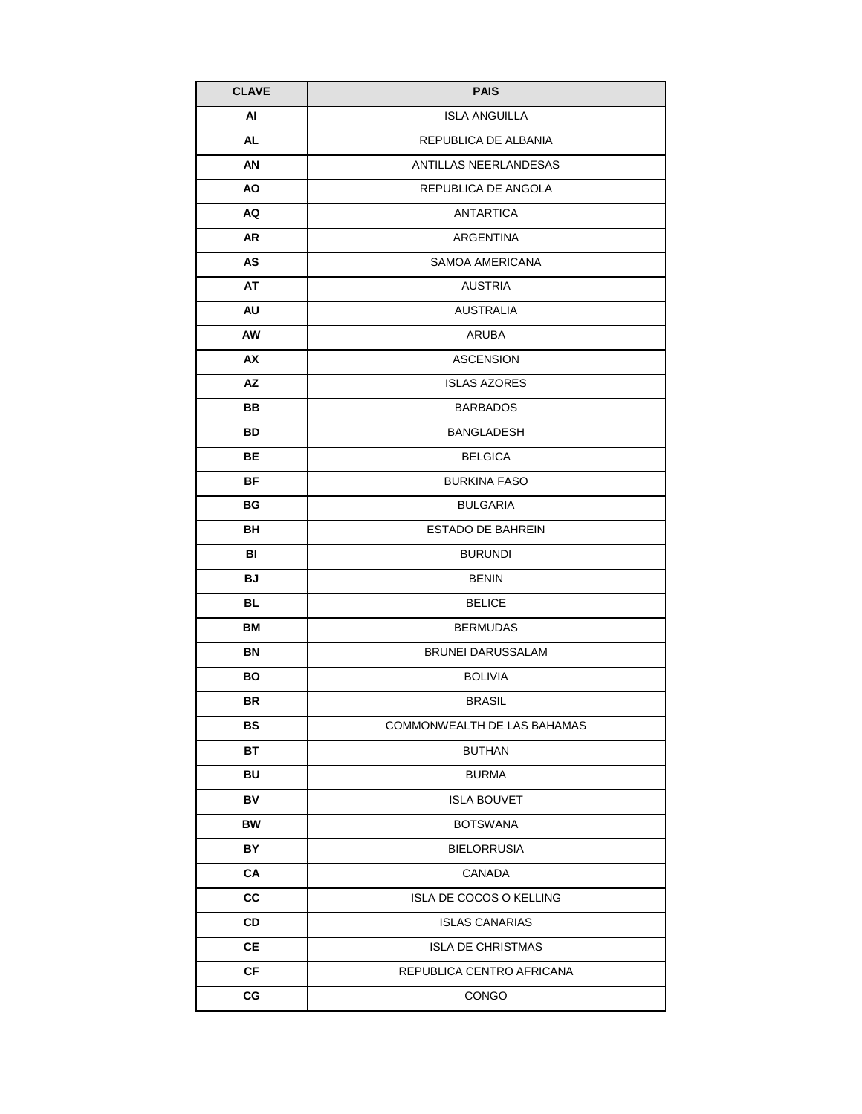| <b>CLAVE</b> | <b>PAIS</b>                 |  |
|--------------|-----------------------------|--|
| AI           | <b>ISLA ANGUILLA</b>        |  |
| AL           | REPUBLICA DE ALBANIA        |  |
| AN           | ANTILLAS NEERLANDESAS       |  |
| <b>AO</b>    | REPUBLICA DE ANGOLA         |  |
| AQ           | <b>ANTARTICA</b>            |  |
| AR           | <b>ARGENTINA</b>            |  |
| AS           | <b>SAMOA AMERICANA</b>      |  |
| AT           | <b>AUSTRIA</b>              |  |
| AU           | <b>AUSTRALIA</b>            |  |
| AW           | ARUBA                       |  |
| AX           | <b>ASCENSION</b>            |  |
| AZ           | <b>ISLAS AZORES</b>         |  |
| BВ           | <b>BARBADOS</b>             |  |
| BD           | <b>BANGLADESH</b>           |  |
| ВE           | <b>BELGICA</b>              |  |
| ΒF           | <b>BURKINA FASO</b>         |  |
| ВG           | <b>BULGARIA</b>             |  |
| BН           | <b>ESTADO DE BAHREIN</b>    |  |
| BI           | <b>BURUNDI</b>              |  |
| <b>BJ</b>    | <b>BENIN</b>                |  |
| BL           | <b>BELICE</b>               |  |
| ВM           | <b>BERMUDAS</b>             |  |
| BN           | <b>BRUNEI DARUSSALAM</b>    |  |
| BO           | <b>BOLIVIA</b>              |  |
| BR.          | <b>BRASIL</b>               |  |
| BS           | COMMONWEALTH DE LAS BAHAMAS |  |
| ВT           | <b>BUTHAN</b>               |  |
| BU           | <b>BURMA</b>                |  |
| BV           | <b>ISLA BOUVET</b>          |  |
| <b>BW</b>    | <b>BOTSWANA</b>             |  |
| BY           | <b>BIELORRUSIA</b>          |  |
| CA           | CANADA                      |  |
| СC           | ISLA DE COCOS O KELLING     |  |
| CD           | <b>ISLAS CANARIAS</b>       |  |
| CE           | <b>ISLA DE CHRISTMAS</b>    |  |
| CF           | REPUBLICA CENTRO AFRICANA   |  |
| CG           | CONGO                       |  |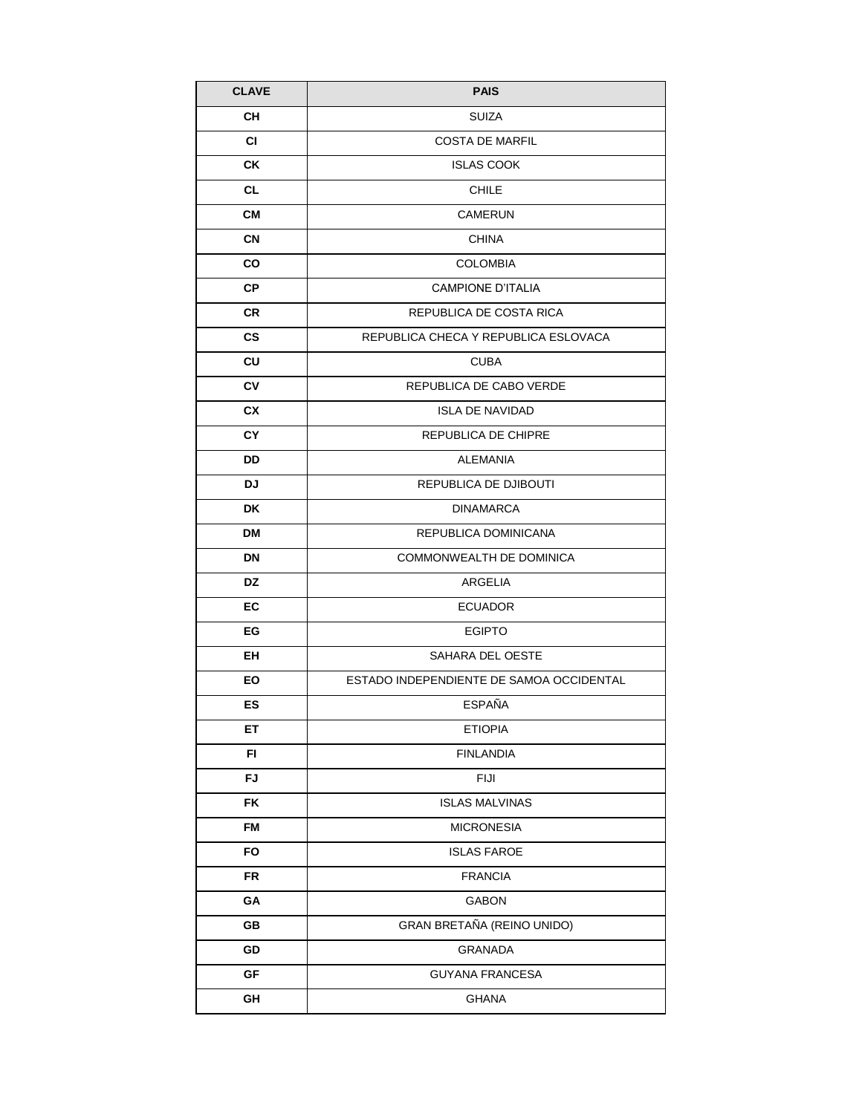| <b>CLAVE</b>  | <b>PAIS</b>                              |  |
|---------------|------------------------------------------|--|
| CН            | SUIZA                                    |  |
| <b>CI</b>     | <b>COSTA DE MARFIL</b>                   |  |
| СK            | <b>ISLAS COOK</b>                        |  |
| <b>CL</b>     | <b>CHILE</b>                             |  |
| CМ            | <b>CAMERUN</b>                           |  |
| <b>CN</b>     | <b>CHINA</b>                             |  |
| CO            | <b>COLOMBIA</b>                          |  |
| <b>CP</b>     | <b>CAMPIONE D'ITALIA</b>                 |  |
| CR            | REPUBLICA DE COSTA RICA                  |  |
| $\mathsf{cs}$ | REPUBLICA CHECA Y REPUBLICA ESLOVACA     |  |
| CU            | <b>CUBA</b>                              |  |
| C٧            | REPUBLICA DE CABO VERDE                  |  |
| <b>CX</b>     | <b>ISLA DE NAVIDAD</b>                   |  |
| <b>CY</b>     | REPUBLICA DE CHIPRE                      |  |
| DD            | <b>ALEMANIA</b>                          |  |
| DJ.           | REPUBLICA DE DJIBOUTI                    |  |
| <b>DK</b>     | <b>DINAMARCA</b>                         |  |
| DM            | REPUBLICA DOMINICANA                     |  |
| <b>DN</b>     | COMMONWEALTH DE DOMINICA                 |  |
| DZ            | ARGELIA                                  |  |
| EC            | <b>ECUADOR</b>                           |  |
| EG            | <b>EGIPTO</b>                            |  |
| EH            | SAHARA DEL OESTE                         |  |
| EO            | ESTADO INDEPENDIENTE DE SAMOA OCCIDENTAL |  |
| ES            | <b>ESPAÑA</b>                            |  |
| ET            | <b>ETIOPIA</b>                           |  |
| FI            | <b>FINLANDIA</b>                         |  |
| FJ            | <b>FIJI</b>                              |  |
| FK            | <b>ISLAS MALVINAS</b>                    |  |
| <b>FM</b>     | <b>MICRONESIA</b>                        |  |
| FO            | <b>ISLAS FAROE</b>                       |  |
| FR            | <b>FRANCIA</b>                           |  |
| GA            | GABON                                    |  |
| GB            | GRAN BRETAÑA (REINO UNIDO)               |  |
| GD            | <b>GRANADA</b>                           |  |
| GF            | <b>GUYANA FRANCESA</b>                   |  |
| GH            | <b>GHANA</b>                             |  |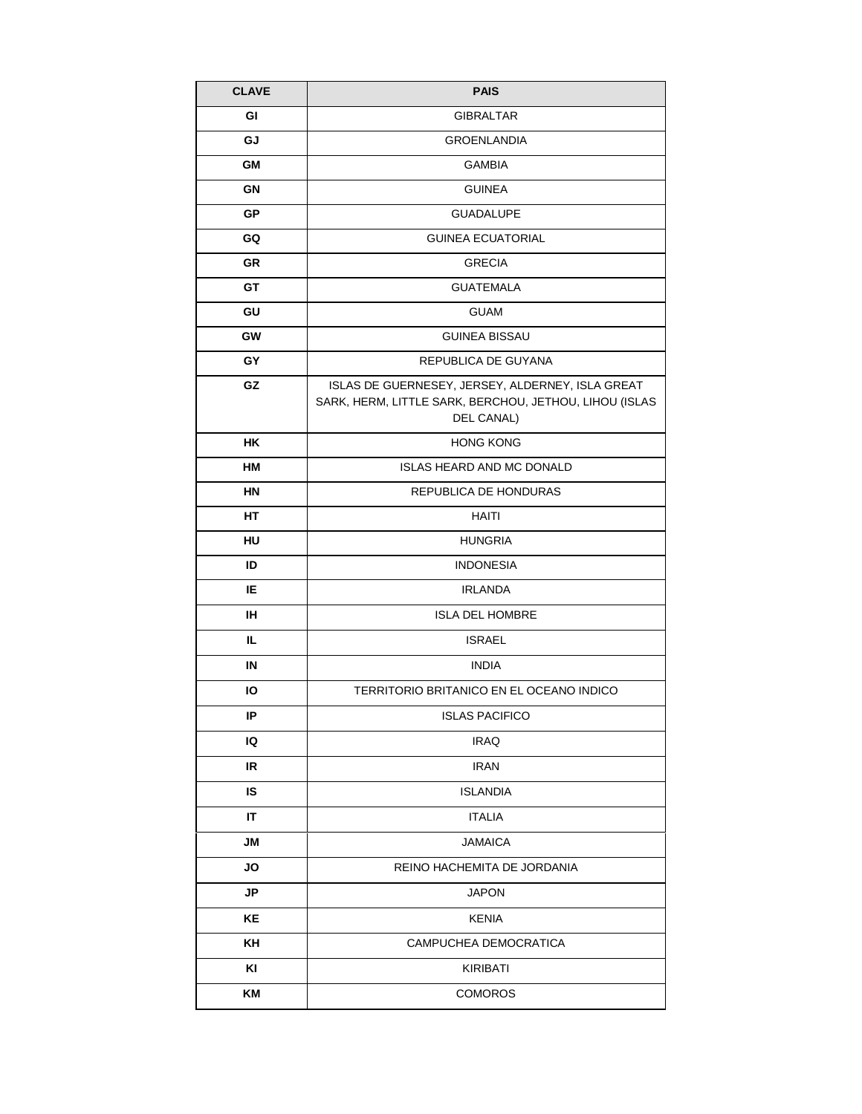| <b>CLAVE</b> | <b>PAIS</b>                                                                                                              |  |
|--------------|--------------------------------------------------------------------------------------------------------------------------|--|
| GI           | <b>GIBRALTAR</b>                                                                                                         |  |
| GJ           | <b>GROENLANDIA</b>                                                                                                       |  |
| GМ           | <b>GAMBIA</b>                                                                                                            |  |
| GN           | <b>GUINEA</b>                                                                                                            |  |
| <b>GP</b>    | <b>GUADALUPE</b>                                                                                                         |  |
| GQ           | <b>GUINEA ECUATORIAL</b>                                                                                                 |  |
| <b>GR</b>    | <b>GRECIA</b>                                                                                                            |  |
| GT           | <b>GUATEMALA</b>                                                                                                         |  |
| GU           | <b>GUAM</b>                                                                                                              |  |
| <b>GW</b>    | <b>GUINEA BISSAU</b>                                                                                                     |  |
| GY           | REPUBLICA DE GUYANA                                                                                                      |  |
| GZ           | ISLAS DE GUERNESEY, JERSEY, ALDERNEY, ISLA GREAT<br>SARK, HERM, LITTLE SARK, BERCHOU, JETHOU, LIHOU (ISLAS<br>DEL CANAL) |  |
| HK.          | <b>HONG KONG</b>                                                                                                         |  |
| НM           | <b>ISLAS HEARD AND MC DONALD</b>                                                                                         |  |
| HN           | REPUBLICA DE HONDURAS                                                                                                    |  |
| HТ           | HAITI                                                                                                                    |  |
| HU           | <b>HUNGRIA</b>                                                                                                           |  |
| ID           | <b>INDONESIA</b>                                                                                                         |  |
| IE           | <b>IRLANDA</b>                                                                                                           |  |
| IH.          | <b>ISLA DEL HOMBRE</b>                                                                                                   |  |
| IL.          | <b>ISRAEL</b>                                                                                                            |  |
| IN           | <b>INDIA</b>                                                                                                             |  |
| IО           | TERRITORIO BRITANICO EN EL OCEANO INDICO                                                                                 |  |
| IP           | <b>ISLAS PACIFICO</b>                                                                                                    |  |
| IQ           | <b>IRAQ</b>                                                                                                              |  |
| IR           | <b>IRAN</b>                                                                                                              |  |
| IS           | <b>ISLANDIA</b>                                                                                                          |  |
| IT           | <b>ITALIA</b>                                                                                                            |  |
| JM           | <b>JAMAICA</b>                                                                                                           |  |
| JO           | REINO HACHEMITA DE JORDANIA                                                                                              |  |
| <b>JP</b>    | <b>JAPON</b>                                                                                                             |  |
| KE           | <b>KENIA</b>                                                                                                             |  |
| KH           | CAMPUCHEA DEMOCRATICA                                                                                                    |  |
| KI           | KIRIBATI                                                                                                                 |  |
| KM           | <b>COMOROS</b>                                                                                                           |  |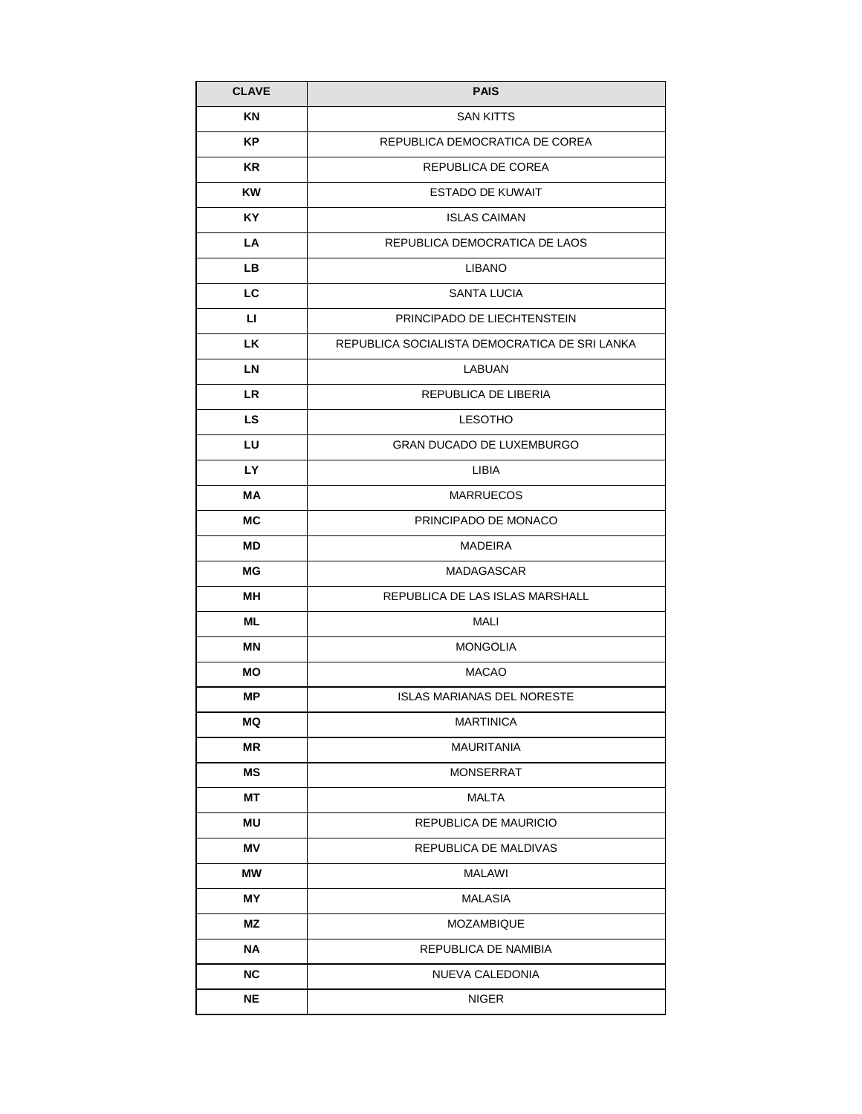| <b>CLAVE</b> | <b>PAIS</b>                                   |  |
|--------------|-----------------------------------------------|--|
| ΚN           | <b>SAN KITTS</b>                              |  |
| <b>KP</b>    | REPUBLICA DEMOCRATICA DE COREA                |  |
| <b>KR</b>    | REPUBLICA DE COREA                            |  |
| <b>KW</b>    | <b>ESTADO DE KUWAIT</b>                       |  |
| KY.          | <b>ISLAS CAIMAN</b>                           |  |
| LA           | REPUBLICA DEMOCRATICA DE LAOS                 |  |
| LB.          | <b>LIBANO</b>                                 |  |
| LC           | SANTA LUCIA                                   |  |
| LI.          | PRINCIPADO DE LIECHTENSTEIN                   |  |
| <b>LK</b>    | REPUBLICA SOCIALISTA DEMOCRATICA DE SRI LANKA |  |
| <b>LN</b>    | LABUAN                                        |  |
| <b>LR</b>    | REPUBLICA DE LIBERIA                          |  |
| <b>LS</b>    | <b>LESOTHO</b>                                |  |
| LU           | <b>GRAN DUCADO DE LUXEMBURGO</b>              |  |
| <b>LY</b>    | LIBIA                                         |  |
| МA           | <b>MARRUECOS</b>                              |  |
| МC           | PRINCIPADO DE MONACO                          |  |
| <b>MD</b>    | <b>MADEIRA</b>                                |  |
| МG           | <b>MADAGASCAR</b>                             |  |
| MН           | REPUBLICA DE LAS ISLAS MARSHALL               |  |
| ML           | MALI                                          |  |
| ΜN           | <b>MONGOLIA</b>                               |  |
| MО           | <b>MACAO</b>                                  |  |
| МP           | <b>ISLAS MARIANAS DEL NORESTE</b>             |  |
| MQ           | <b>MARTINICA</b>                              |  |
| ΜR           | <b>MAURITANIA</b>                             |  |
| ΜS           | <b>MONSERRAT</b>                              |  |
| MТ           | MALTA                                         |  |
| <b>MU</b>    | REPUBLICA DE MAURICIO                         |  |
| ΜV           | REPUBLICA DE MALDIVAS                         |  |
| МW           | MALAWI                                        |  |
| MY.          | MALASIA                                       |  |
| ΜZ           | MOZAMBIQUE                                    |  |
| NA           | REPUBLICA DE NAMIBIA                          |  |
| <b>NC</b>    | NUEVA CALEDONIA                               |  |
| NE           | <b>NIGER</b>                                  |  |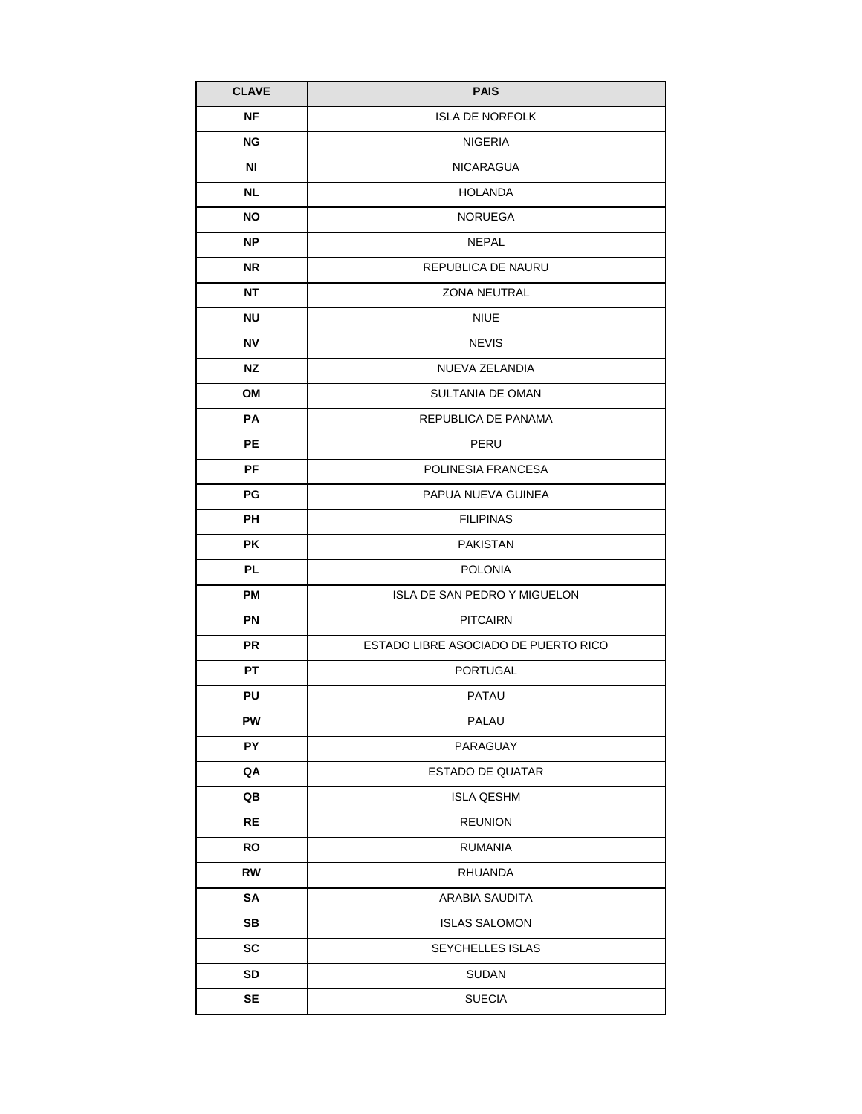| <b>CLAVE</b> | <b>PAIS</b>                          |  |
|--------------|--------------------------------------|--|
| <b>NF</b>    | <b>ISLA DE NORFOLK</b>               |  |
| NG           | NIGERIA                              |  |
| ΝI           | <b>NICARAGUA</b>                     |  |
| NL.          | <b>HOLANDA</b>                       |  |
| NO.          | <b>NORUEGA</b>                       |  |
| NP.          | NEPAL                                |  |
| NR.          | REPUBLICA DE NAURU                   |  |
| NΤ           | <b>ZONA NEUTRAL</b>                  |  |
| <b>NU</b>    | <b>NIUE</b>                          |  |
| <b>NV</b>    | <b>NEVIS</b>                         |  |
| <b>NZ</b>    | NUEVA ZELANDIA                       |  |
| OM           | <b>SULTANIA DE OMAN</b>              |  |
| PA           | REPUBLICA DE PANAMA                  |  |
| <b>PE</b>    | PERU                                 |  |
| <b>PF</b>    | POLINESIA FRANCESA                   |  |
| PG           | PAPUA NUEVA GUINEA                   |  |
| PН           | <b>FILIPINAS</b>                     |  |
| РK           | PAKISTAN                             |  |
| <b>PL</b>    | <b>POLONIA</b>                       |  |
| <b>PM</b>    | ISLA DE SAN PEDRO Y MIGUELON         |  |
| <b>PN</b>    | <b>PITCAIRN</b>                      |  |
| <b>PR</b>    | ESTADO LIBRE ASOCIADO DE PUERTO RICO |  |
| <b>PT</b>    | PORTUGAL                             |  |
| PU           | <b>PATAU</b>                         |  |
| PW           | PALAU                                |  |
| PY           | PARAGUAY                             |  |
| QA           | ESTADO DE QUATAR                     |  |
| QB           | <b>ISLA QESHM</b>                    |  |
| RE           | <b>REUNION</b>                       |  |
| RO           | <b>RUMANIA</b>                       |  |
| RW           | <b>RHUANDA</b>                       |  |
| SA           | ARABIA SAUDITA                       |  |
| SB           | <b>ISLAS SALOMON</b>                 |  |
| <b>SC</b>    | SEYCHELLES ISLAS                     |  |
| <b>SD</b>    | <b>SUDAN</b>                         |  |
| SE           | <b>SUECIA</b>                        |  |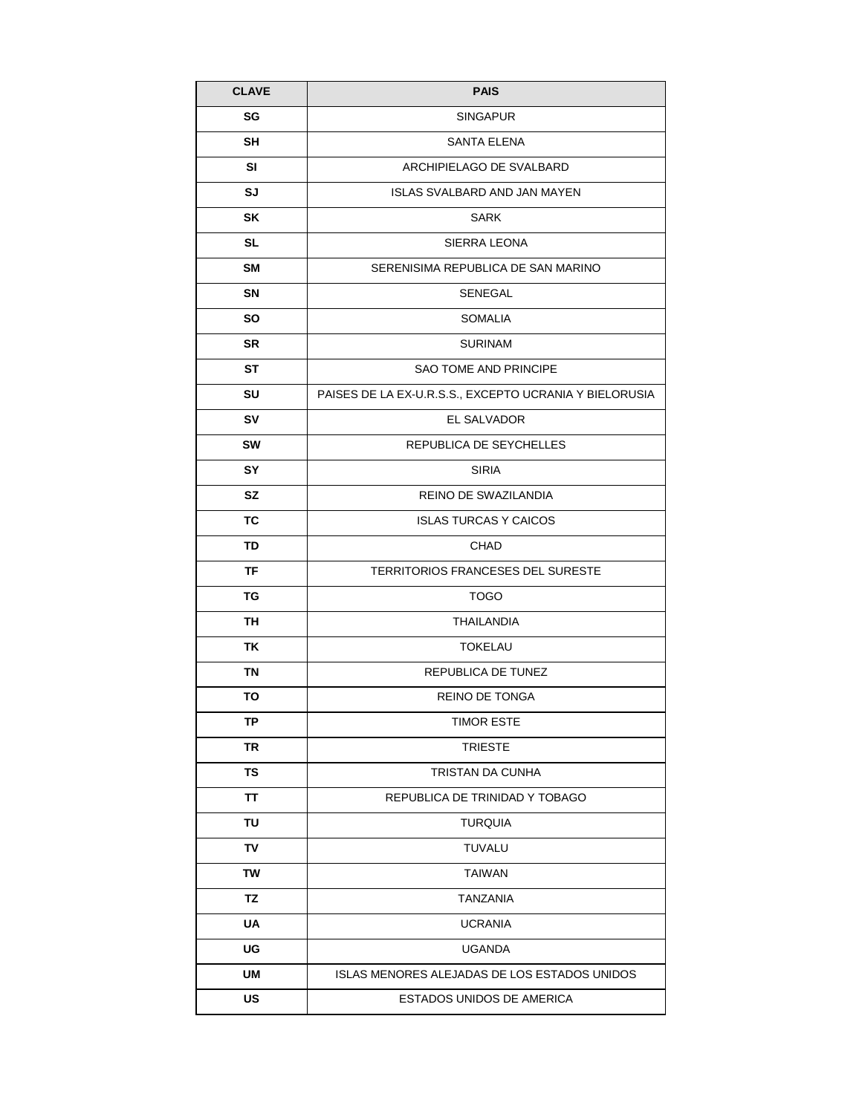| <b>CLAVE</b> | <b>PAIS</b>                                            |  |
|--------------|--------------------------------------------------------|--|
| SG           | SINGAPUR                                               |  |
| SH           | SANTA ELENA                                            |  |
| SI           | ARCHIPIELAGO DE SVALBARD                               |  |
| SJ           | <b>ISLAS SVALBARD AND JAN MAYEN</b>                    |  |
| SK           | <b>SARK</b>                                            |  |
| SL           | SIERRA LEONA                                           |  |
| SM           | SERENISIMA REPUBLICA DE SAN MARINO                     |  |
| <b>SN</b>    | SENEGAL                                                |  |
| SO.          | <b>SOMALIA</b>                                         |  |
| <b>SR</b>    | <b>SURINAM</b>                                         |  |
| ST           | <b>SAO TOME AND PRINCIPE</b>                           |  |
| SU           | PAISES DE LA EX-U.R.S.S., EXCEPTO UCRANIA Y BIELORUSIA |  |
| <b>SV</b>    | EL SALVADOR                                            |  |
| <b>SW</b>    | REPUBLICA DE SEYCHELLES                                |  |
| SY           | <b>SIRIA</b>                                           |  |
| <b>SZ</b>    | REINO DE SWAZILANDIA                                   |  |
| TC           | <b>ISLAS TURCAS Y CAICOS</b>                           |  |
| TD           | <b>CHAD</b>                                            |  |
| <b>TF</b>    | TERRITORIOS FRANCESES DEL SURESTE                      |  |
| TG           | <b>TOGO</b>                                            |  |
| TH           | <b>THAILANDIA</b>                                      |  |
| ΤK           | <b>TOKELAU</b>                                         |  |
| TN           | REPUBLICA DE TUNEZ                                     |  |
| ΤО           | <b>REINO DE TONGA</b>                                  |  |
| ΤP           | <b>TIMOR ESTE</b>                                      |  |
| TR           | <b>TRIESTE</b>                                         |  |
| TS           | TRISTAN DA CUNHA                                       |  |
| TΤ           | REPUBLICA DE TRINIDAD Y TOBAGO                         |  |
| TU           | <b>TURQUIA</b>                                         |  |
| TV           | TUVALU                                                 |  |
| TW           | <b>TAIWAN</b>                                          |  |
| ΤZ           | TANZANIA                                               |  |
| <b>UA</b>    | <b>UCRANIA</b>                                         |  |
| UG           | <b>UGANDA</b>                                          |  |
| UM           | ISLAS MENORES ALEJADAS DE LOS ESTADOS UNIDOS           |  |
| US           | ESTADOS UNIDOS DE AMERICA                              |  |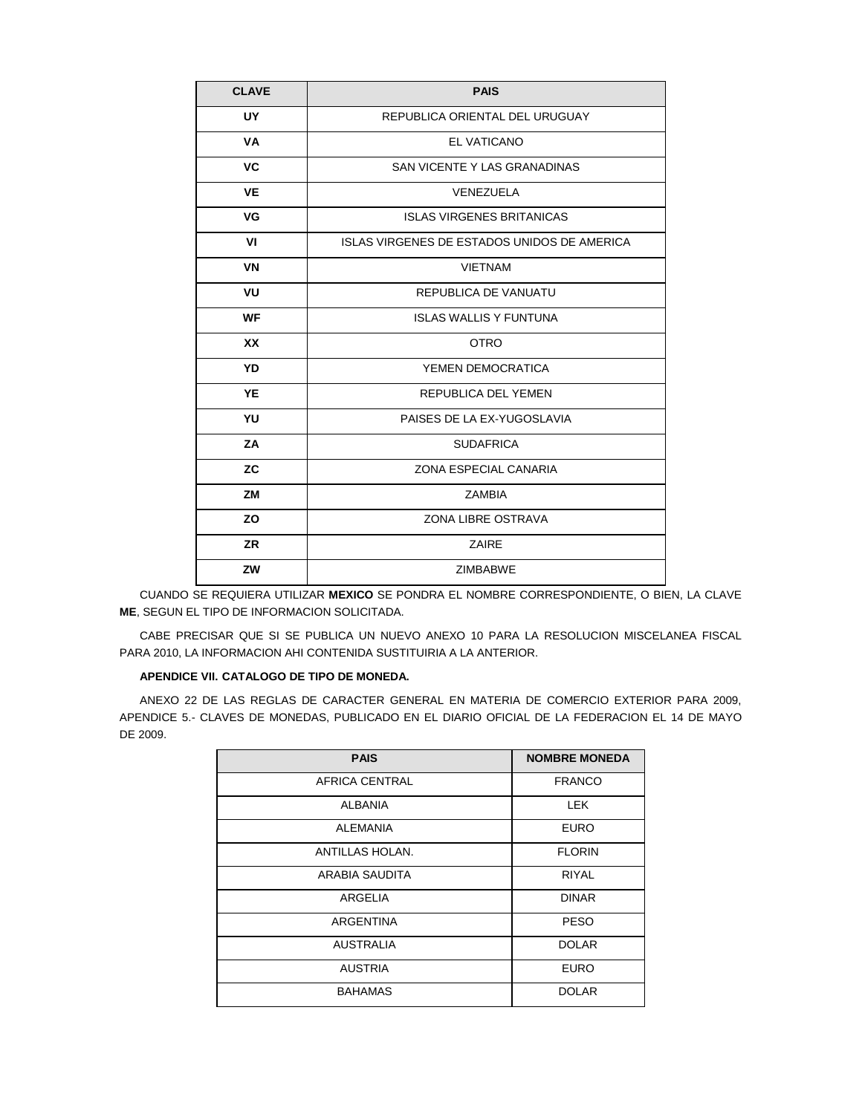| <b>CLAVE</b> | <b>PAIS</b>                                 |  |
|--------------|---------------------------------------------|--|
| UY.          | REPUBLICA ORIENTAL DEL URUGUAY              |  |
| VA           | EL VATICANO                                 |  |
| <b>VC</b>    | SAN VICENTE Y LAS GRANADINAS                |  |
| <b>VE</b>    | VENEZUELA                                   |  |
| VG           | <b>ISLAS VIRGENES BRITANICAS</b>            |  |
| VI           | ISLAS VIRGENES DE ESTADOS UNIDOS DE AMERICA |  |
| <b>VN</b>    | <b>VIETNAM</b>                              |  |
| VU           | REPUBLICA DE VANUATU                        |  |
| <b>WF</b>    | <b>ISLAS WALLIS Y FUNTUNA</b>               |  |
| <b>XX</b>    | <b>OTRO</b>                                 |  |
| YD           | YEMEN DEMOCRATICA                           |  |
| YE           | REPUBLICA DEL YEMEN                         |  |
| YU           | PAISES DE LA EX-YUGOSLAVIA                  |  |
| ZA           | <b>SUDAFRICA</b>                            |  |
| <b>ZC</b>    | ZONA ESPECIAL CANARIA                       |  |
| <b>ZM</b>    | <b>ZAMBIA</b>                               |  |
| ZO           | ZONA LIBRE OSTRAVA                          |  |
| <b>ZR</b>    | ZAIRE                                       |  |
| ZW           | <b>ZIMBABWE</b>                             |  |

CUANDO SE REQUIERA UTILIZAR **MEXICO** SE PONDRA EL NOMBRE CORRESPONDIENTE, O BIEN, LA CLAVE **ME**, SEGUN EL TIPO DE INFORMACION SOLICITADA.

CABE PRECISAR QUE SI SE PUBLICA UN NUEVO ANEXO 10 PARA LA RESOLUCION MISCELANEA FISCAL PARA 2010, LA INFORMACION AHI CONTENIDA SUSTITUIRIA A LA ANTERIOR.

### **APENDICE VII. CATALOGO DE TIPO DE MONEDA.**

ANEXO 22 DE LAS REGLAS DE CARACTER GENERAL EN MATERIA DE COMERCIO EXTERIOR PARA 2009, APENDICE 5.- CLAVES DE MONEDAS, PUBLICADO EN EL DIARIO OFICIAL DE LA FEDERACION EL 14 DE MAYO DE 2009.

| <b>PAIS</b>      | <b>NOMBRE MONEDA</b> |
|------------------|----------------------|
| AFRICA CENTRAL   | <b>FRANCO</b>        |
| <b>ALBANIA</b>   | LEK                  |
| <b>ALEMANIA</b>  | <b>EURO</b>          |
| ANTILLAS HOLAN.  | <b>FLORIN</b>        |
| ARABIA SAUDITA   | <b>RIYAL</b>         |
| ARGELIA          | <b>DINAR</b>         |
| ARGENTINA        | <b>PESO</b>          |
| <b>AUSTRALIA</b> | <b>DOLAR</b>         |
| <b>AUSTRIA</b>   | <b>EURO</b>          |
| <b>BAHAMAS</b>   | <b>DOLAR</b>         |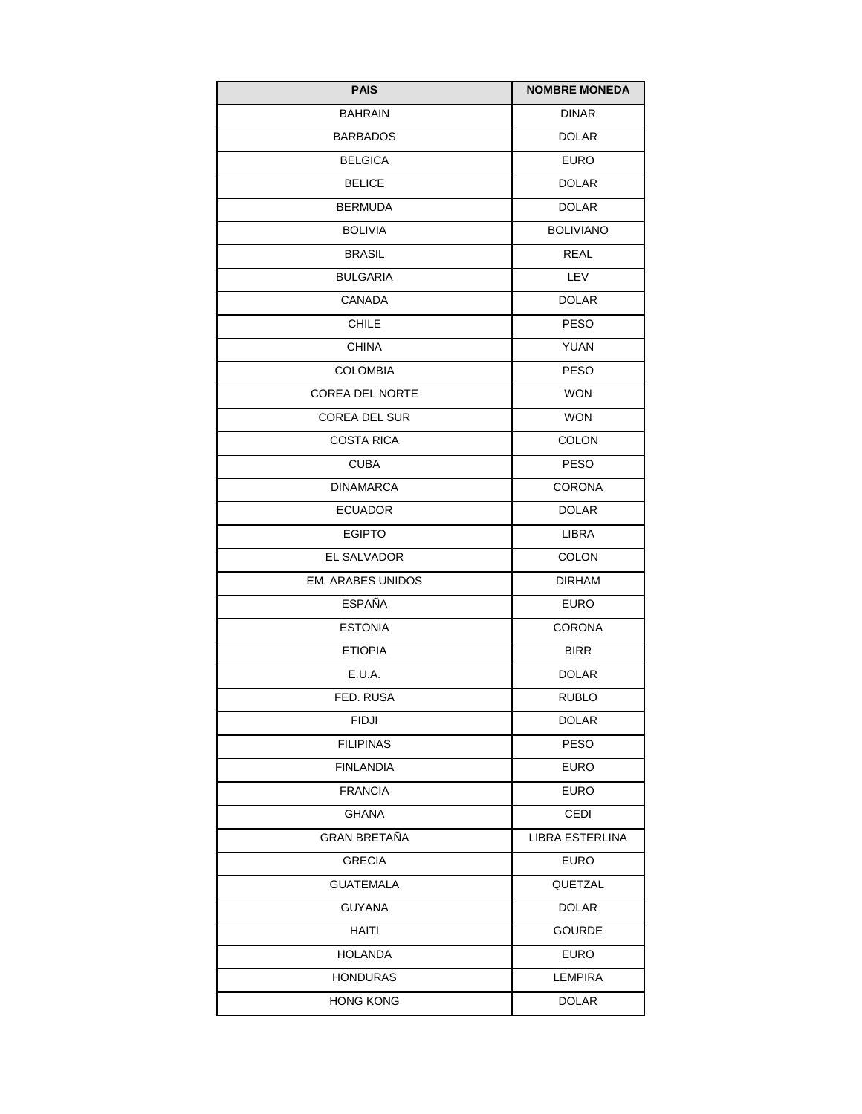| <b>PAIS</b>              | <b>NOMBRE MONEDA</b> |
|--------------------------|----------------------|
| <b>BAHRAIN</b>           | <b>DINAR</b>         |
| <b>BARBADOS</b>          | <b>DOLAR</b>         |
| <b>BELGICA</b>           | <b>EURO</b>          |
| <b>BELICE</b>            | <b>DOLAR</b>         |
| <b>BERMUDA</b>           | <b>DOLAR</b>         |
| <b>BOLIVIA</b>           | <b>BOLIVIANO</b>     |
| <b>BRASIL</b>            | <b>REAL</b>          |
| <b>BULGARIA</b>          | LEV                  |
| CANADA                   | <b>DOLAR</b>         |
| <b>CHILE</b>             | <b>PESO</b>          |
| <b>CHINA</b>             | YUAN                 |
| <b>COLOMBIA</b>          | <b>PESO</b>          |
| <b>COREA DEL NORTE</b>   | <b>WON</b>           |
| <b>COREA DEL SUR</b>     | <b>WON</b>           |
| COSTA RICA               | <b>COLON</b>         |
| <b>CUBA</b>              | <b>PESO</b>          |
| <b>DINAMARCA</b>         | <b>CORONA</b>        |
| <b>ECUADOR</b>           | <b>DOLAR</b>         |
| <b>EGIPTO</b>            | LIBRA                |
| EL SALVADOR              | <b>COLON</b>         |
| <b>EM. ARABES UNIDOS</b> | <b>DIRHAM</b>        |
| <b>ESPAÑA</b>            | <b>EURO</b>          |
| <b>ESTONIA</b>           | CORONA               |
| <b>ETIOPIA</b>           | <b>BIRR</b>          |
| E.U.A.                   | <b>DOLAR</b>         |
| FED. RUSA                | <b>RUBLO</b>         |
| <b>FIDJI</b>             | <b>DOLAR</b>         |
| <b>FILIPINAS</b>         | <b>PESO</b>          |
| <b>FINLANDIA</b>         | <b>EURO</b>          |
| <b>FRANCIA</b>           | <b>EURO</b>          |
| GHANA                    | CEDI                 |
| GRAN BRETAÑA             | LIBRA ESTERLINA      |
| <b>GRECIA</b>            | <b>EURO</b>          |
| <b>GUATEMALA</b>         | QUETZAL              |
| <b>GUYANA</b>            | <b>DOLAR</b>         |
| HAITI                    | <b>GOURDE</b>        |
| <b>HOLANDA</b>           | <b>EURO</b>          |
| <b>HONDURAS</b>          | <b>LEMPIRA</b>       |
| <b>HONG KONG</b>         | <b>DOLAR</b>         |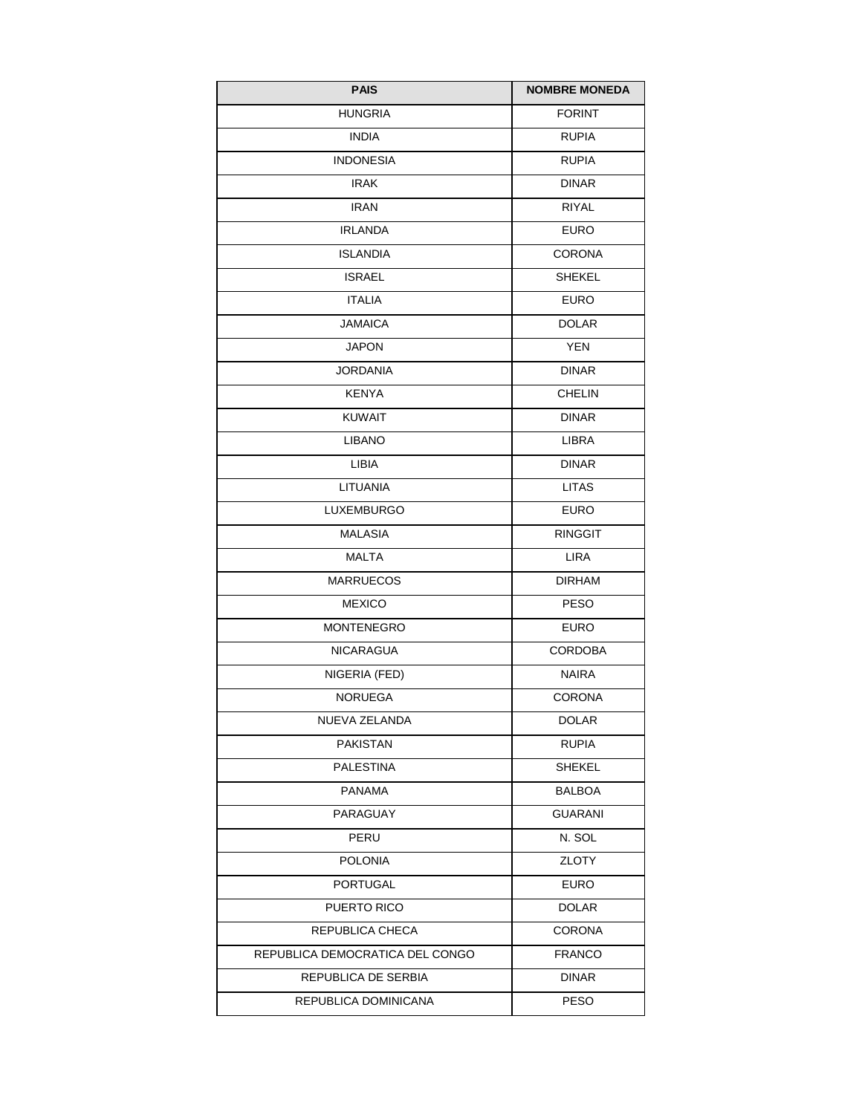| <b>PAIS</b>                     | <b>NOMBRE MONEDA</b> |
|---------------------------------|----------------------|
| <b>HUNGRIA</b>                  | <b>FORINT</b>        |
| <b>INDIA</b>                    | <b>RUPIA</b>         |
| <b>INDONESIA</b>                | <b>RUPIA</b>         |
| <b>IRAK</b>                     | <b>DINAR</b>         |
| <b>IRAN</b>                     | <b>RIYAL</b>         |
| <b>IRLANDA</b>                  | EURO                 |
| <b>ISLANDIA</b>                 | <b>CORONA</b>        |
| <b>ISRAEL</b>                   | <b>SHEKEL</b>        |
| <b>ITALIA</b>                   | <b>EURO</b>          |
| JAMAICA                         | <b>DOLAR</b>         |
| <b>JAPON</b>                    | <b>YEN</b>           |
| <b>JORDANIA</b>                 | <b>DINAR</b>         |
| <b>KENYA</b>                    | <b>CHELIN</b>        |
| <b>KUWAIT</b>                   | <b>DINAR</b>         |
| <b>LIBANO</b>                   | <b>LIBRA</b>         |
| <b>LIBIA</b>                    | DINAR                |
| LITUANIA                        | <b>LITAS</b>         |
| <b>LUXEMBURGO</b>               | <b>EURO</b>          |
| <b>MALASIA</b>                  | <b>RINGGIT</b>       |
| <b>MALTA</b>                    | <b>LIRA</b>          |
| <b>MARRUECOS</b>                | <b>DIRHAM</b>        |
| <b>MEXICO</b>                   | <b>PESO</b>          |
| <b>MONTENEGRO</b>               | EURO                 |
| <b>NICARAGUA</b>                | <b>CORDOBA</b>       |
| NIGERIA (FED)                   | NAIRA                |
| <b>NORUEGA</b>                  | <b>CORONA</b>        |
| NUEVA ZELANDA                   | <b>DOLAR</b>         |
| PAKISTAN                        | <b>RUPIA</b>         |
| <b>PALESTINA</b>                | SHEKEL               |
| <b>PANAMA</b>                   | BALBOA               |
| PARAGUAY                        | <b>GUARANI</b>       |
| PERU                            | N. SOL               |
| <b>POLONIA</b>                  | ZLOTY                |
| PORTUGAL                        | EURO                 |
| PUERTO RICO                     | <b>DOLAR</b>         |
| REPUBLICA CHECA                 | <b>CORONA</b>        |
| REPUBLICA DEMOCRATICA DEL CONGO | <b>FRANCO</b>        |
| REPUBLICA DE SERBIA             | <b>DINAR</b>         |
| REPUBLICA DOMINICANA            | <b>PESO</b>          |